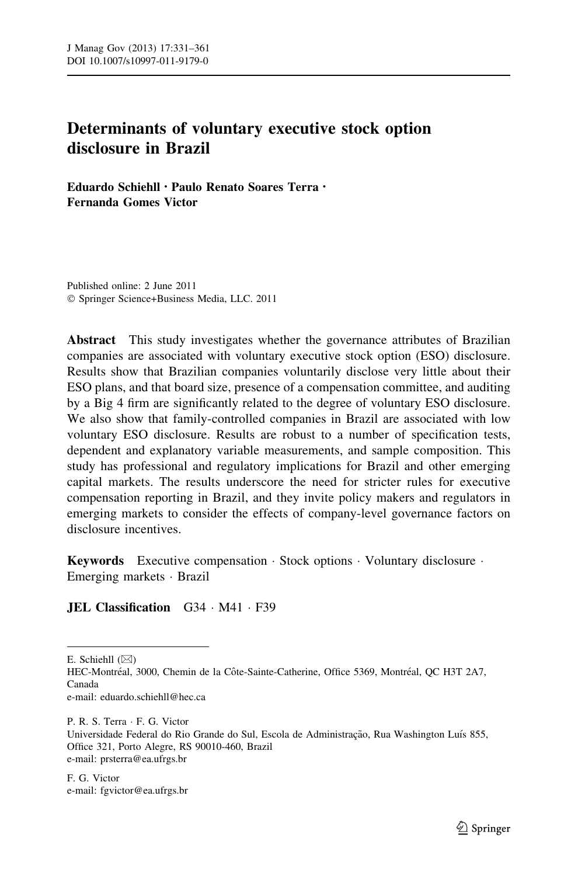# Determinants of voluntary executive stock option disclosure in Brazil

Eduardo Schiehll • Paulo Renato Soares Terra • Fernanda Gomes Victor

Published online: 2 June 2011 - Springer Science+Business Media, LLC. 2011

Abstract This study investigates whether the governance attributes of Brazilian companies are associated with voluntary executive stock option (ESO) disclosure. Results show that Brazilian companies voluntarily disclose very little about their ESO plans, and that board size, presence of a compensation committee, and auditing by a Big 4 firm are significantly related to the degree of voluntary ESO disclosure. We also show that family-controlled companies in Brazil are associated with low voluntary ESO disclosure. Results are robust to a number of specification tests, dependent and explanatory variable measurements, and sample composition. This study has professional and regulatory implications for Brazil and other emerging capital markets. The results underscore the need for stricter rules for executive compensation reporting in Brazil, and they invite policy makers and regulators in emerging markets to consider the effects of company-level governance factors on disclosure incentives.

Keywords Executive compensation · Stock options · Voluntary disclosure · Emerging markets - Brazil

JEL Classification G34 - M41 - F39

E. Schiehll  $(\boxtimes)$ 

HEC-Montréal, 3000, Chemin de la Côte-Sainte-Catherine, Office 5369, Montréal, OC H3T 2A7, Canada

e-mail: eduardo.schiehll@hec.ca

P. R. S. Terra - F. G. Victor Universidade Federal do Rio Grande do Sul, Escola de Administração, Rua Washington Luís 855, Office 321, Porto Alegre, RS 90010-460, Brazil e-mail: prsterra@ea.ufrgs.br

F. G. Victor e-mail: fgvictor@ea.ufrgs.br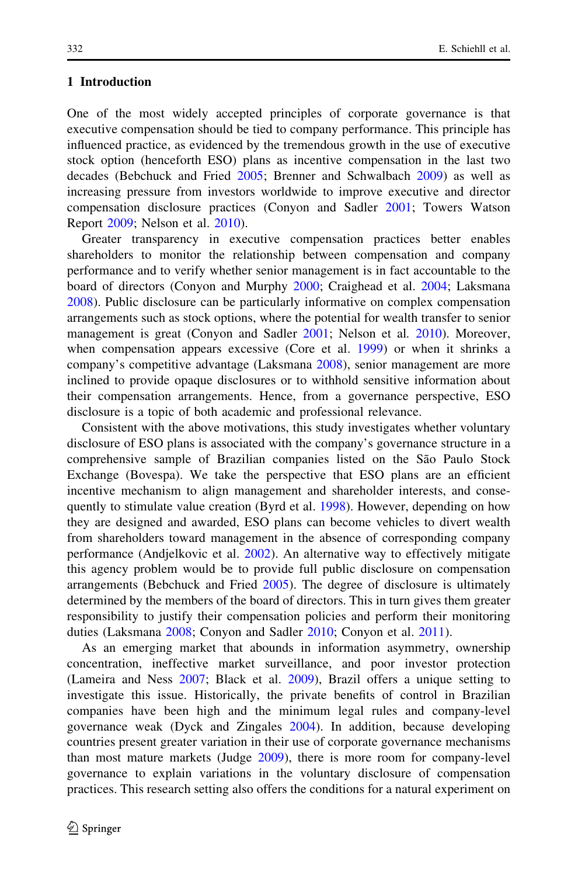## 1 Introduction

One of the most widely accepted principles of corporate governance is that executive compensation should be tied to company performance. This principle has influenced practice, as evidenced by the tremendous growth in the use of executive stock option (henceforth ESO) plans as incentive compensation in the last two decades (Bebchuck and Fried [2005](#page-27-0); Brenner and Schwalbach [2009](#page-28-0)) as well as increasing pressure from investors worldwide to improve executive and director compensation disclosure practices (Conyon and Sadler [2001](#page-28-0); Towers Watson Report [2009;](#page-30-0) Nelson et al. [2010\)](#page-29-0).

Greater transparency in executive compensation practices better enables shareholders to monitor the relationship between compensation and company performance and to verify whether senior management is in fact accountable to the board of directors (Conyon and Murphy [2000](#page-28-0); Craighead et al. [2004](#page-28-0); Laksmana [2008\)](#page-29-0). Public disclosure can be particularly informative on complex compensation arrangements such as stock options, where the potential for wealth transfer to senior management is great (Conyon and Sadler [2001](#page-28-0); Nelson et al. [2010](#page-29-0)). Moreover, when compensation appears excessive (Core et al. [1999\)](#page-28-0) or when it shrinks a company's competitive advantage (Laksmana [2008\)](#page-29-0), senior management are more inclined to provide opaque disclosures or to withhold sensitive information about their compensation arrangements. Hence, from a governance perspective, ESO disclosure is a topic of both academic and professional relevance.

Consistent with the above motivations, this study investigates whether voluntary disclosure of ESO plans is associated with the company's governance structure in a comprehensive sample of Brazilian companies listed on the São Paulo Stock Exchange (Bovespa). We take the perspective that ESO plans are an efficient incentive mechanism to align management and shareholder interests, and consequently to stimulate value creation (Byrd et al. [1998](#page-28-0)). However, depending on how they are designed and awarded, ESO plans can become vehicles to divert wealth from shareholders toward management in the absence of corresponding company performance (Andjelkovic et al. [2002\)](#page-27-0). An alternative way to effectively mitigate this agency problem would be to provide full public disclosure on compensation arrangements (Bebchuck and Fried [2005\)](#page-27-0). The degree of disclosure is ultimately determined by the members of the board of directors. This in turn gives them greater responsibility to justify their compensation policies and perform their monitoring duties (Laksmana [2008](#page-29-0); Conyon and Sadler [2010;](#page-28-0) Conyon et al. [2011](#page-28-0)).

As an emerging market that abounds in information asymmetry, ownership concentration, ineffective market surveillance, and poor investor protection (Lameira and Ness [2007](#page-29-0); Black et al. [2009](#page-27-0)), Brazil offers a unique setting to investigate this issue. Historically, the private benefits of control in Brazilian companies have been high and the minimum legal rules and company-level governance weak (Dyck and Zingales [2004](#page-28-0)). In addition, because developing countries present greater variation in their use of corporate governance mechanisms than most mature markets (Judge [2009](#page-29-0)), there is more room for company-level governance to explain variations in the voluntary disclosure of compensation practices. This research setting also offers the conditions for a natural experiment on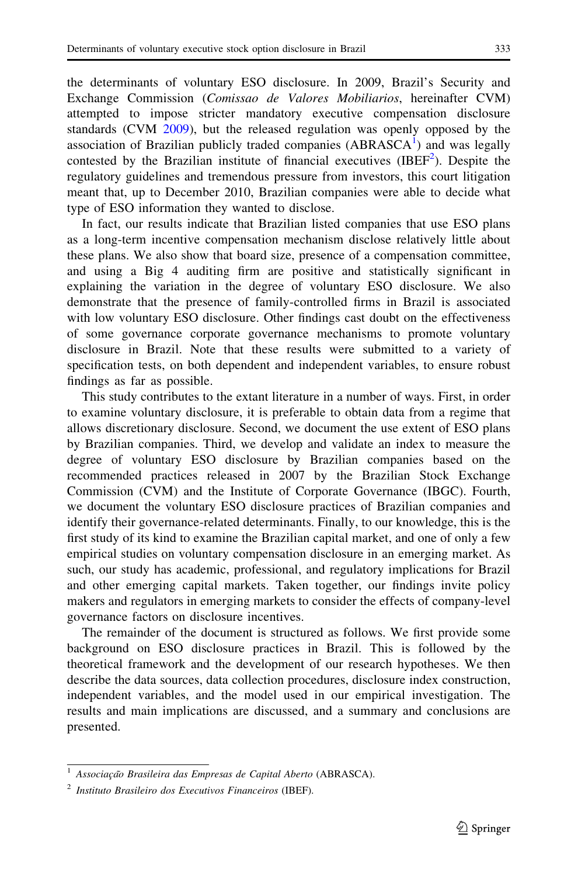the determinants of voluntary ESO disclosure. In 2009, Brazil's Security and Exchange Commission (Comissao de Valores Mobiliarios, hereinafter CVM) attempted to impose stricter mandatory executive compensation disclosure standards (CVM [2009\)](#page-28-0), but the released regulation was openly opposed by the association of Brazilian publicly traded companies  $(ABRASCA<sup>1</sup>)$  and was legally contested by the Brazilian institute of financial executives (IBEF<sup>2</sup>). Despite the regulatory guidelines and tremendous pressure from investors, this court litigation meant that, up to December 2010, Brazilian companies were able to decide what type of ESO information they wanted to disclose.

In fact, our results indicate that Brazilian listed companies that use ESO plans as a long-term incentive compensation mechanism disclose relatively little about these plans. We also show that board size, presence of a compensation committee, and using a Big 4 auditing firm are positive and statistically significant in explaining the variation in the degree of voluntary ESO disclosure. We also demonstrate that the presence of family-controlled firms in Brazil is associated with low voluntary ESO disclosure. Other findings cast doubt on the effectiveness of some governance corporate governance mechanisms to promote voluntary disclosure in Brazil. Note that these results were submitted to a variety of specification tests, on both dependent and independent variables, to ensure robust findings as far as possible.

This study contributes to the extant literature in a number of ways. First, in order to examine voluntary disclosure, it is preferable to obtain data from a regime that allows discretionary disclosure. Second, we document the use extent of ESO plans by Brazilian companies. Third, we develop and validate an index to measure the degree of voluntary ESO disclosure by Brazilian companies based on the recommended practices released in 2007 by the Brazilian Stock Exchange Commission (CVM) and the Institute of Corporate Governance (IBGC). Fourth, we document the voluntary ESO disclosure practices of Brazilian companies and identify their governance-related determinants. Finally, to our knowledge, this is the first study of its kind to examine the Brazilian capital market, and one of only a few empirical studies on voluntary compensation disclosure in an emerging market. As such, our study has academic, professional, and regulatory implications for Brazil and other emerging capital markets. Taken together, our findings invite policy makers and regulators in emerging markets to consider the effects of company-level governance factors on disclosure incentives.

The remainder of the document is structured as follows. We first provide some background on ESO disclosure practices in Brazil. This is followed by the theoretical framework and the development of our research hypotheses. We then describe the data sources, data collection procedures, disclosure index construction, independent variables, and the model used in our empirical investigation. The results and main implications are discussed, and a summary and conclusions are presented.

 $1$  Associação Brasileira das Empresas de Capital Aberto (ABRASCA).

<sup>2</sup> Instituto Brasileiro dos Executivos Financeiros (IBEF).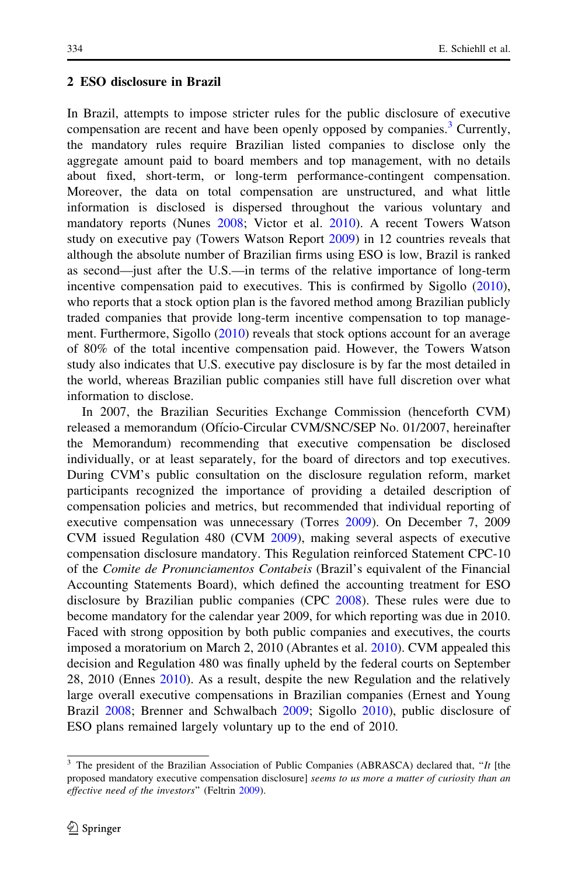#### 2 ESO disclosure in Brazil

In Brazil, attempts to impose stricter rules for the public disclosure of executive compensation are recent and have been openly opposed by companies.<sup>3</sup> Currently, the mandatory rules require Brazilian listed companies to disclose only the aggregate amount paid to board members and top management, with no details about fixed, short-term, or long-term performance-contingent compensation. Moreover, the data on total compensation are unstructured, and what little information is disclosed is dispersed throughout the various voluntary and mandatory reports (Nunes [2008](#page-29-0); Victor et al. [2010](#page-30-0)). A recent Towers Watson study on executive pay (Towers Watson Report [2009](#page-30-0)) in 12 countries reveals that although the absolute number of Brazilian firms using ESO is low, Brazil is ranked as second—just after the U.S.—in terms of the relative importance of long-term incentive compensation paid to executives. This is confirmed by Sigollo ([2010\)](#page-29-0), who reports that a stock option plan is the favored method among Brazilian publicly traded companies that provide long-term incentive compensation to top management. Furthermore, Sigollo [\(2010](#page-29-0)) reveals that stock options account for an average of 80% of the total incentive compensation paid. However, the Towers Watson study also indicates that U.S. executive pay disclosure is by far the most detailed in the world, whereas Brazilian public companies still have full discretion over what information to disclose.

In 2007, the Brazilian Securities Exchange Commission (henceforth CVM) released a memorandum (Ofício-Circular CVM/SNC/SEP No. 01/2007, hereinafter the Memorandum) recommending that executive compensation be disclosed individually, or at least separately, for the board of directors and top executives. During CVM's public consultation on the disclosure regulation reform, market participants recognized the importance of providing a detailed description of compensation policies and metrics, but recommended that individual reporting of executive compensation was unnecessary (Torres [2009\)](#page-30-0). On December 7, 2009 CVM issued Regulation 480 (CVM [2009\)](#page-28-0), making several aspects of executive compensation disclosure mandatory. This Regulation reinforced Statement CPC-10 of the Comite de Pronunciamentos Contabeis (Brazil's equivalent of the Financial Accounting Statements Board), which defined the accounting treatment for ESO disclosure by Brazilian public companies (CPC [2008](#page-28-0)). These rules were due to become mandatory for the calendar year 2009, for which reporting was due in 2010. Faced with strong opposition by both public companies and executives, the courts imposed a moratorium on March 2, 2010 (Abrantes et al. [2010](#page-27-0)). CVM appealed this decision and Regulation 480 was finally upheld by the federal courts on September 28, 2010 (Ennes [2010\)](#page-28-0). As a result, despite the new Regulation and the relatively large overall executive compensations in Brazilian companies (Ernest and Young Brazil [2008;](#page-29-0) Brenner and Schwalbach [2009](#page-28-0); Sigollo [2010\)](#page-29-0), public disclosure of ESO plans remained largely voluntary up to the end of 2010.

 $3$  The president of the Brazilian Association of Public Companies (ABRASCA) declared that, " $It$  [the proposed mandatory executive compensation disclosure] seems to us more a matter of curiosity than an effective need of the investors'' (Feltrin [2009\)](#page-29-0).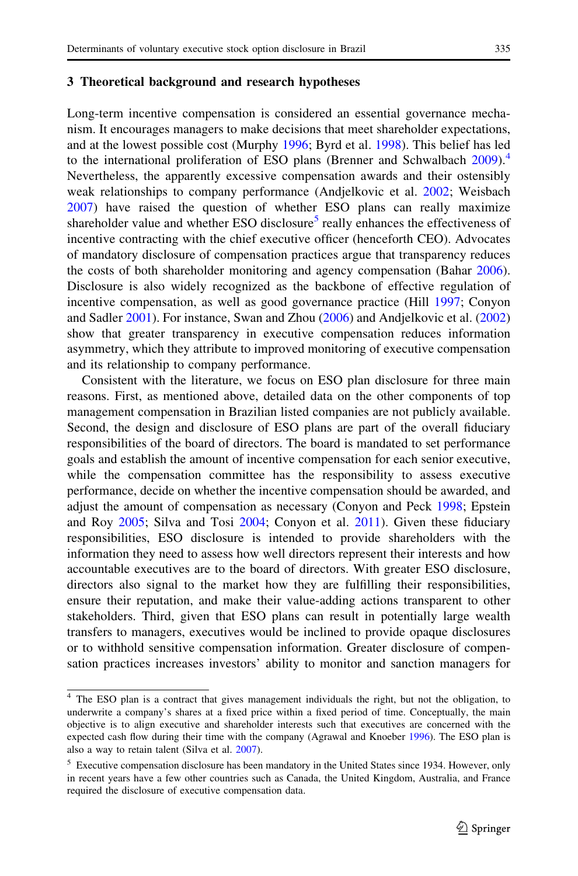#### 3 Theoretical background and research hypotheses

Long-term incentive compensation is considered an essential governance mechanism. It encourages managers to make decisions that meet shareholder expectations, and at the lowest possible cost (Murphy [1996;](#page-29-0) Byrd et al. [1998](#page-28-0)). This belief has led to the international proliferation of ESO plans (Brenner and Schwalbach  $2009$ ).<sup>4</sup> Nevertheless, the apparently excessive compensation awards and their ostensibly weak relationships to company performance (Andjelkovic et al. [2002;](#page-27-0) Weisbach [2007\)](#page-30-0) have raised the question of whether ESO plans can really maximize shareholder value and whether ESO disclosure<sup>5</sup> really enhances the effectiveness of incentive contracting with the chief executive officer (henceforth CEO). Advocates of mandatory disclosure of compensation practices argue that transparency reduces the costs of both shareholder monitoring and agency compensation (Bahar [2006\)](#page-27-0). Disclosure is also widely recognized as the backbone of effective regulation of incentive compensation, as well as good governance practice (Hill [1997](#page-29-0); Conyon and Sadler [2001\)](#page-28-0). For instance, Swan and Zhou ([2006\)](#page-29-0) and Andjelkovic et al. [\(2002](#page-27-0)) show that greater transparency in executive compensation reduces information asymmetry, which they attribute to improved monitoring of executive compensation and its relationship to company performance.

Consistent with the literature, we focus on ESO plan disclosure for three main reasons. First, as mentioned above, detailed data on the other components of top management compensation in Brazilian listed companies are not publicly available. Second, the design and disclosure of ESO plans are part of the overall fiduciary responsibilities of the board of directors. The board is mandated to set performance goals and establish the amount of incentive compensation for each senior executive, while the compensation committee has the responsibility to assess executive performance, decide on whether the incentive compensation should be awarded, and adjust the amount of compensation as necessary (Conyon and Peck [1998](#page-28-0); Epstein and Roy [2005](#page-29-0); Silva and Tosi [2004](#page-29-0); Conyon et al. [2011\)](#page-28-0). Given these fiduciary responsibilities, ESO disclosure is intended to provide shareholders with the information they need to assess how well directors represent their interests and how accountable executives are to the board of directors. With greater ESO disclosure, directors also signal to the market how they are fulfilling their responsibilities, ensure their reputation, and make their value-adding actions transparent to other stakeholders. Third, given that ESO plans can result in potentially large wealth transfers to managers, executives would be inclined to provide opaque disclosures or to withhold sensitive compensation information. Greater disclosure of compensation practices increases investors' ability to monitor and sanction managers for

<sup>4</sup> The ESO plan is a contract that gives management individuals the right, but not the obligation, to underwrite a company's shares at a fixed price within a fixed period of time. Conceptually, the main objective is to align executive and shareholder interests such that executives are concerned with the expected cash flow during their time with the company (Agrawal and Knoeber [1996\)](#page-27-0). The ESO plan is also a way to retain talent (Silva et al. [2007](#page-29-0)).

<sup>5</sup> Executive compensation disclosure has been mandatory in the United States since 1934. However, only in recent years have a few other countries such as Canada, the United Kingdom, Australia, and France required the disclosure of executive compensation data.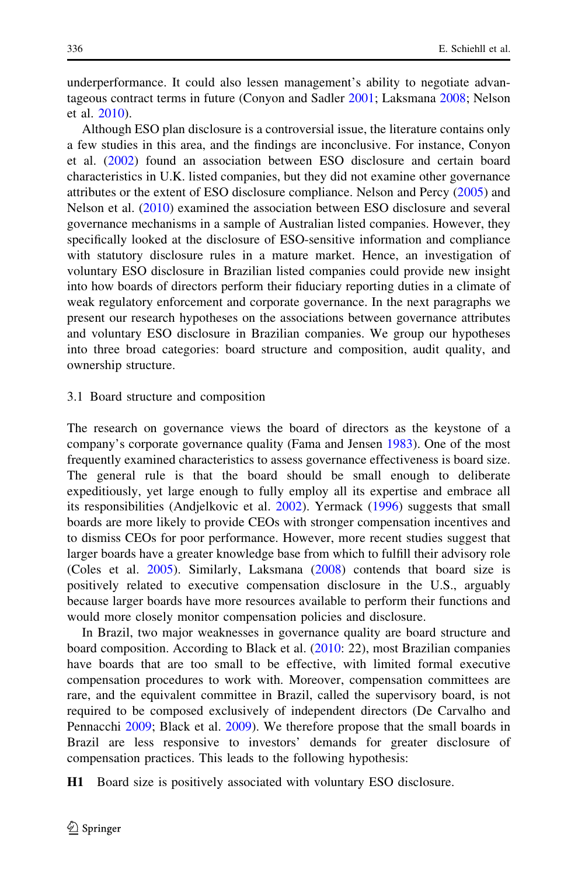underperformance. It could also lessen management's ability to negotiate advantageous contract terms in future (Conyon and Sadler [2001;](#page-28-0) Laksmana [2008;](#page-29-0) Nelson et al. [2010\)](#page-29-0).

Although ESO plan disclosure is a controversial issue, the literature contains only a few studies in this area, and the findings are inconclusive. For instance, Conyon et al. [\(2002](#page-28-0)) found an association between ESO disclosure and certain board characteristics in U.K. listed companies, but they did not examine other governance attributes or the extent of ESO disclosure compliance. Nelson and Percy ([2005\)](#page-29-0) and Nelson et al. ([2010\)](#page-29-0) examined the association between ESO disclosure and several governance mechanisms in a sample of Australian listed companies. However, they specifically looked at the disclosure of ESO-sensitive information and compliance with statutory disclosure rules in a mature market. Hence, an investigation of voluntary ESO disclosure in Brazilian listed companies could provide new insight into how boards of directors perform their fiduciary reporting duties in a climate of weak regulatory enforcement and corporate governance. In the next paragraphs we present our research hypotheses on the associations between governance attributes and voluntary ESO disclosure in Brazilian companies. We group our hypotheses into three broad categories: board structure and composition, audit quality, and ownership structure.

# 3.1 Board structure and composition

The research on governance views the board of directors as the keystone of a company's corporate governance quality (Fama and Jensen [1983](#page-29-0)). One of the most frequently examined characteristics to assess governance effectiveness is board size. The general rule is that the board should be small enough to deliberate expeditiously, yet large enough to fully employ all its expertise and embrace all its responsibilities (Andjelkovic et al. [2002\)](#page-27-0). Yermack [\(1996](#page-30-0)) suggests that small boards are more likely to provide CEOs with stronger compensation incentives and to dismiss CEOs for poor performance. However, more recent studies suggest that larger boards have a greater knowledge base from which to fulfill their advisory role (Coles et al. [2005\)](#page-28-0). Similarly, Laksmana ([2008\)](#page-29-0) contends that board size is positively related to executive compensation disclosure in the U.S., arguably because larger boards have more resources available to perform their functions and would more closely monitor compensation policies and disclosure.

In Brazil, two major weaknesses in governance quality are board structure and board composition. According to Black et al. [\(2010](#page-28-0): 22), most Brazilian companies have boards that are too small to be effective, with limited formal executive compensation procedures to work with. Moreover, compensation committees are rare, and the equivalent committee in Brazil, called the supervisory board, is not required to be composed exclusively of independent directors (De Carvalho and Pennacchi [2009](#page-28-0); Black et al. [2009\)](#page-27-0). We therefore propose that the small boards in Brazil are less responsive to investors' demands for greater disclosure of compensation practices. This leads to the following hypothesis:

H1 Board size is positively associated with voluntary ESO disclosure.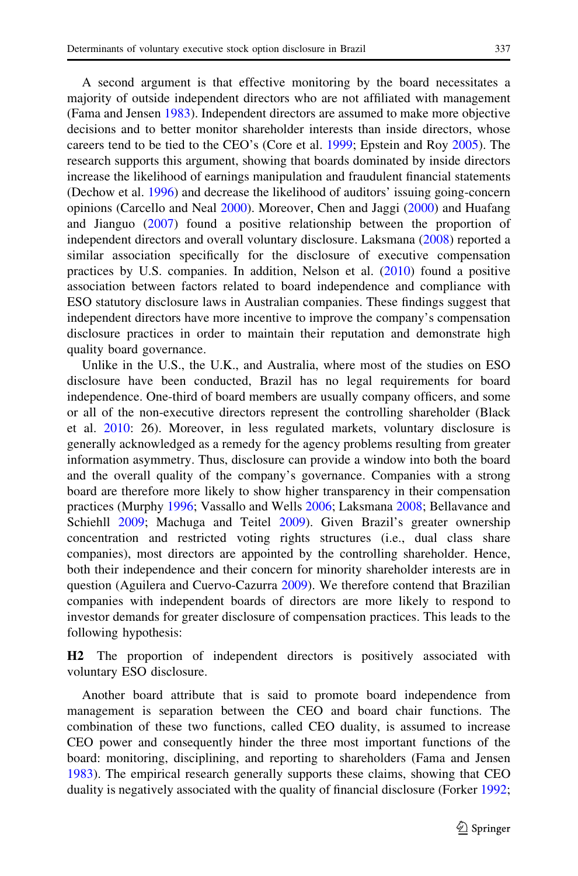A second argument is that effective monitoring by the board necessitates a majority of outside independent directors who are not affiliated with management (Fama and Jensen [1983\)](#page-29-0). Independent directors are assumed to make more objective decisions and to better monitor shareholder interests than inside directors, whose careers tend to be tied to the CEO's (Core et al. [1999](#page-28-0); Epstein and Roy [2005\)](#page-29-0). The research supports this argument, showing that boards dominated by inside directors increase the likelihood of earnings manipulation and fraudulent financial statements (Dechow et al. [1996](#page-28-0)) and decrease the likelihood of auditors' issuing going-concern opinions (Carcello and Neal [2000\)](#page-28-0). Moreover, Chen and Jaggi [\(2000](#page-28-0)) and Huafang and Jianguo [\(2007](#page-29-0)) found a positive relationship between the proportion of independent directors and overall voluntary disclosure. Laksmana ([2008\)](#page-29-0) reported a similar association specifically for the disclosure of executive compensation practices by U.S. companies. In addition, Nelson et al. [\(2010](#page-29-0)) found a positive association between factors related to board independence and compliance with ESO statutory disclosure laws in Australian companies. These findings suggest that independent directors have more incentive to improve the company's compensation disclosure practices in order to maintain their reputation and demonstrate high quality board governance.

Unlike in the U.S., the U.K., and Australia, where most of the studies on ESO disclosure have been conducted, Brazil has no legal requirements for board independence. One-third of board members are usually company officers, and some or all of the non-executive directors represent the controlling shareholder (Black et al. [2010:](#page-28-0) 26). Moreover, in less regulated markets, voluntary disclosure is generally acknowledged as a remedy for the agency problems resulting from greater information asymmetry. Thus, disclosure can provide a window into both the board and the overall quality of the company's governance. Companies with a strong board are therefore more likely to show higher transparency in their compensation practices (Murphy [1996](#page-29-0); Vassallo and Wells [2006](#page-30-0); Laksmana [2008](#page-29-0); Bellavance and Schiehll [2009;](#page-27-0) Machuga and Teitel [2009](#page-29-0)). Given Brazil's greater ownership concentration and restricted voting rights structures (i.e., dual class share companies), most directors are appointed by the controlling shareholder. Hence, both their independence and their concern for minority shareholder interests are in question (Aguilera and Cuervo-Cazurra [2009](#page-27-0)). We therefore contend that Brazilian companies with independent boards of directors are more likely to respond to investor demands for greater disclosure of compensation practices. This leads to the following hypothesis:

H2 The proportion of independent directors is positively associated with voluntary ESO disclosure.

Another board attribute that is said to promote board independence from management is separation between the CEO and board chair functions. The combination of these two functions, called CEO duality, is assumed to increase CEO power and consequently hinder the three most important functions of the board: monitoring, disciplining, and reporting to shareholders (Fama and Jensen [1983\)](#page-29-0). The empirical research generally supports these claims, showing that CEO duality is negatively associated with the quality of financial disclosure (Forker [1992;](#page-29-0)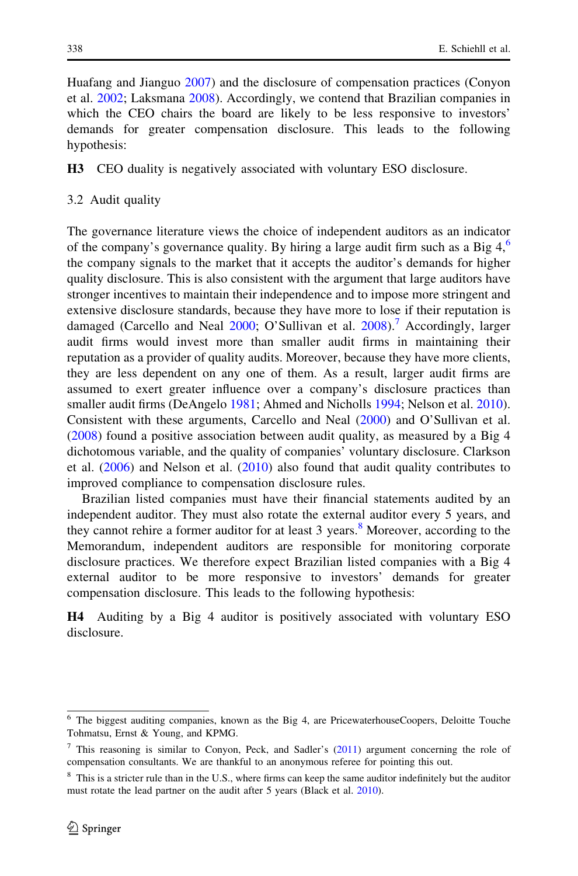Huafang and Jianguo [2007\)](#page-29-0) and the disclosure of compensation practices (Conyon et al. [2002;](#page-28-0) Laksmana [2008\)](#page-29-0). Accordingly, we contend that Brazilian companies in which the CEO chairs the board are likely to be less responsive to investors' demands for greater compensation disclosure. This leads to the following hypothesis:

H3 CEO duality is negatively associated with voluntary ESO disclosure.

## 3.2 Audit quality

The governance literature views the choice of independent auditors as an indicator of the company's governance quality. By hiring a large audit firm such as a Big  $4<sup>6</sup>$ the company signals to the market that it accepts the auditor's demands for higher quality disclosure. This is also consistent with the argument that large auditors have stronger incentives to maintain their independence and to impose more stringent and extensive disclosure standards, because they have more to lose if their reputation is damaged (Carcello and Neal [2000](#page-28-0); O'Sullivan et al. [2008\)](#page-29-0).<sup>7</sup> Accordingly, larger audit firms would invest more than smaller audit firms in maintaining their reputation as a provider of quality audits. Moreover, because they have more clients, they are less dependent on any one of them. As a result, larger audit firms are assumed to exert greater influence over a company's disclosure practices than smaller audit firms (DeAngelo [1981;](#page-28-0) Ahmed and Nicholls [1994;](#page-27-0) Nelson et al. [2010\)](#page-29-0). Consistent with these arguments, Carcello and Neal ([2000\)](#page-28-0) and O'Sullivan et al. [\(2008](#page-29-0)) found a positive association between audit quality, as measured by a Big 4 dichotomous variable, and the quality of companies' voluntary disclosure. Clarkson et al. ([2006\)](#page-28-0) and Nelson et al. [\(2010](#page-29-0)) also found that audit quality contributes to improved compliance to compensation disclosure rules.

Brazilian listed companies must have their financial statements audited by an independent auditor. They must also rotate the external auditor every 5 years, and they cannot rehire a former auditor for at least  $3$  years.<sup>8</sup> Moreover, according to the Memorandum, independent auditors are responsible for monitoring corporate disclosure practices. We therefore expect Brazilian listed companies with a Big 4 external auditor to be more responsive to investors' demands for greater compensation disclosure. This leads to the following hypothesis:

H4 Auditing by a Big 4 auditor is positively associated with voluntary ESO disclosure.

<sup>6</sup> The biggest auditing companies, known as the Big 4, are PricewaterhouseCoopers, Deloitte Touche Tohmatsu, Ernst & Young, and KPMG.

<sup>7</sup> This reasoning is similar to Conyon, Peck, and Sadler's [\(2011](#page-28-0)) argument concerning the role of compensation consultants. We are thankful to an anonymous referee for pointing this out.

<sup>&</sup>lt;sup>8</sup> This is a stricter rule than in the U.S., where firms can keep the same auditor indefinitely but the auditor must rotate the lead partner on the audit after 5 years (Black et al. [2010](#page-28-0)).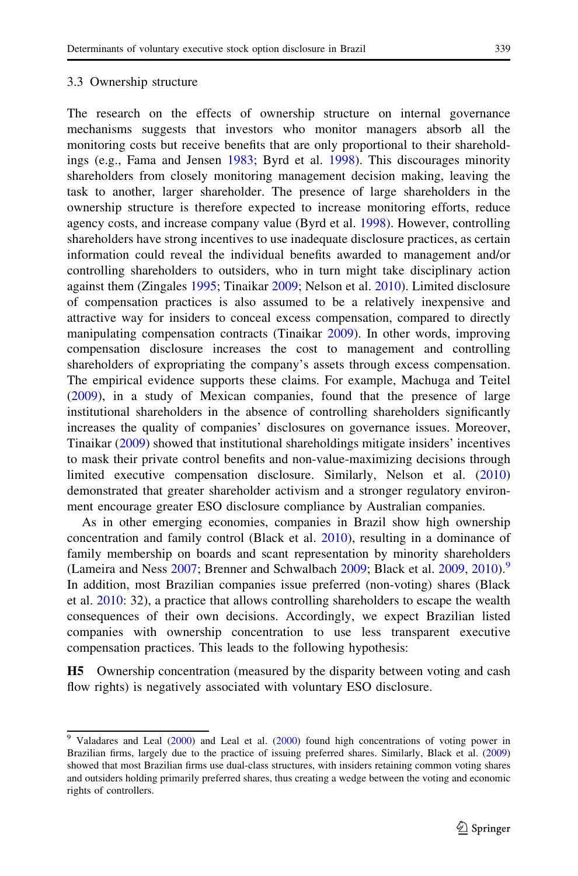#### 3.3 Ownership structure

The research on the effects of ownership structure on internal governance mechanisms suggests that investors who monitor managers absorb all the monitoring costs but receive benefits that are only proportional to their shareholdings (e.g., Fama and Jensen [1983;](#page-29-0) Byrd et al. [1998](#page-28-0)). This discourages minority shareholders from closely monitoring management decision making, leaving the task to another, larger shareholder. The presence of large shareholders in the ownership structure is therefore expected to increase monitoring efforts, reduce agency costs, and increase company value (Byrd et al. [1998\)](#page-28-0). However, controlling shareholders have strong incentives to use inadequate disclosure practices, as certain information could reveal the individual benefits awarded to management and/or controlling shareholders to outsiders, who in turn might take disciplinary action against them (Zingales [1995;](#page-30-0) Tinaikar [2009;](#page-30-0) Nelson et al. [2010](#page-29-0)). Limited disclosure of compensation practices is also assumed to be a relatively inexpensive and attractive way for insiders to conceal excess compensation, compared to directly manipulating compensation contracts (Tinaikar [2009](#page-30-0)). In other words, improving compensation disclosure increases the cost to management and controlling shareholders of expropriating the company's assets through excess compensation. The empirical evidence supports these claims. For example, Machuga and Teitel [\(2009](#page-29-0)), in a study of Mexican companies, found that the presence of large institutional shareholders in the absence of controlling shareholders significantly increases the quality of companies' disclosures on governance issues. Moreover, Tinaikar ([2009\)](#page-30-0) showed that institutional shareholdings mitigate insiders' incentives to mask their private control benefits and non-value-maximizing decisions through limited executive compensation disclosure. Similarly, Nelson et al. [\(2010](#page-29-0)) demonstrated that greater shareholder activism and a stronger regulatory environment encourage greater ESO disclosure compliance by Australian companies.

As in other emerging economies, companies in Brazil show high ownership concentration and family control (Black et al. [2010](#page-28-0)), resulting in a dominance of family membership on boards and scant representation by minority shareholders (Lameira and Ness [2007](#page-29-0); Brenner and Schwalbach [2009](#page-28-0); Black et al. [2009,](#page-27-0) [2010\)](#page-28-0).<sup>9</sup> In addition, most Brazilian companies issue preferred (non-voting) shares (Black et al. [2010:](#page-28-0) 32), a practice that allows controlling shareholders to escape the wealth consequences of their own decisions. Accordingly, we expect Brazilian listed companies with ownership concentration to use less transparent executive compensation practices. This leads to the following hypothesis:

H5 Ownership concentration (measured by the disparity between voting and cash flow rights) is negatively associated with voluntary ESO disclosure.

<sup>&</sup>lt;sup>9</sup> Valadares and Leal ([2000\)](#page-30-0) and Leal et al. [\(2000\)](#page-29-0) found high concentrations of voting power in Brazilian firms, largely due to the practice of issuing preferred shares. Similarly, Black et al. ([2009\)](#page-27-0) showed that most Brazilian firms use dual-class structures, with insiders retaining common voting shares and outsiders holding primarily preferred shares, thus creating a wedge between the voting and economic rights of controllers.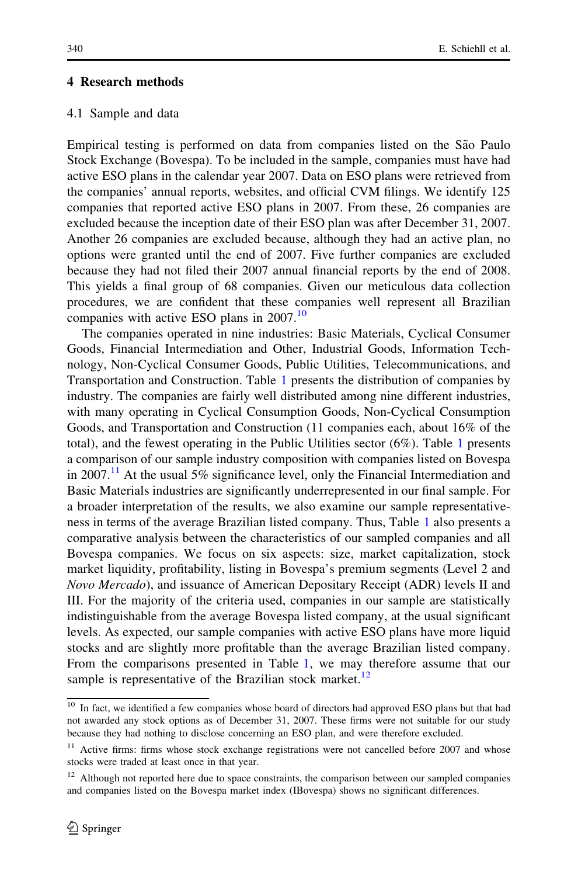## 4 Research methods

## 4.1 Sample and data

Empirical testing is performed on data from companies listed on the São Paulo Stock Exchange (Bovespa). To be included in the sample, companies must have had active ESO plans in the calendar year 2007. Data on ESO plans were retrieved from the companies' annual reports, websites, and official CVM filings. We identify 125 companies that reported active ESO plans in 2007. From these, 26 companies are excluded because the inception date of their ESO plan was after December 31, 2007. Another 26 companies are excluded because, although they had an active plan, no options were granted until the end of 2007. Five further companies are excluded because they had not filed their 2007 annual financial reports by the end of 2008. This yields a final group of 68 companies. Given our meticulous data collection procedures, we are confident that these companies well represent all Brazilian companies with active ESO plans in 2007.<sup>10</sup>

The companies operated in nine industries: Basic Materials, Cyclical Consumer Goods, Financial Intermediation and Other, Industrial Goods, Information Technology, Non-Cyclical Consumer Goods, Public Utilities, Telecommunications, and Transportation and Construction. Table [1](#page-10-0) presents the distribution of companies by industry. The companies are fairly well distributed among nine different industries, with many operating in Cyclical Consumption Goods, Non-Cyclical Consumption Goods, and Transportation and Construction (11 companies each, about 16% of the total), and the fewest operating in the Public Utilities sector  $(6\%)$ . Table [1](#page-10-0) presents a comparison of our sample industry composition with companies listed on Bovespa in 2007.<sup>11</sup> At the usual 5% significance level, only the Financial Intermediation and Basic Materials industries are significantly underrepresented in our final sample. For a broader interpretation of the results, we also examine our sample representativeness in terms of the average Brazilian listed company. Thus, Table [1](#page-10-0) also presents a comparative analysis between the characteristics of our sampled companies and all Bovespa companies. We focus on six aspects: size, market capitalization, stock market liquidity, profitability, listing in Bovespa's premium segments (Level 2 and Novo Mercado), and issuance of American Depositary Receipt (ADR) levels II and III. For the majority of the criteria used, companies in our sample are statistically indistinguishable from the average Bovespa listed company, at the usual significant levels. As expected, our sample companies with active ESO plans have more liquid stocks and are slightly more profitable than the average Brazilian listed company. From the comparisons presented in Table [1,](#page-10-0) we may therefore assume that our sample is representative of the Brazilian stock market.<sup>12</sup>

<sup>&</sup>lt;sup>10</sup> In fact, we identified a few companies whose board of directors had approved ESO plans but that had not awarded any stock options as of December 31, 2007. These firms were not suitable for our study because they had nothing to disclose concerning an ESO plan, and were therefore excluded.

<sup>&</sup>lt;sup>11</sup> Active firms: firms whose stock exchange registrations were not cancelled before 2007 and whose stocks were traded at least once in that year.

<sup>&</sup>lt;sup>12</sup> Although not reported here due to space constraints, the comparison between our sampled companies and companies listed on the Bovespa market index (IBovespa) shows no significant differences.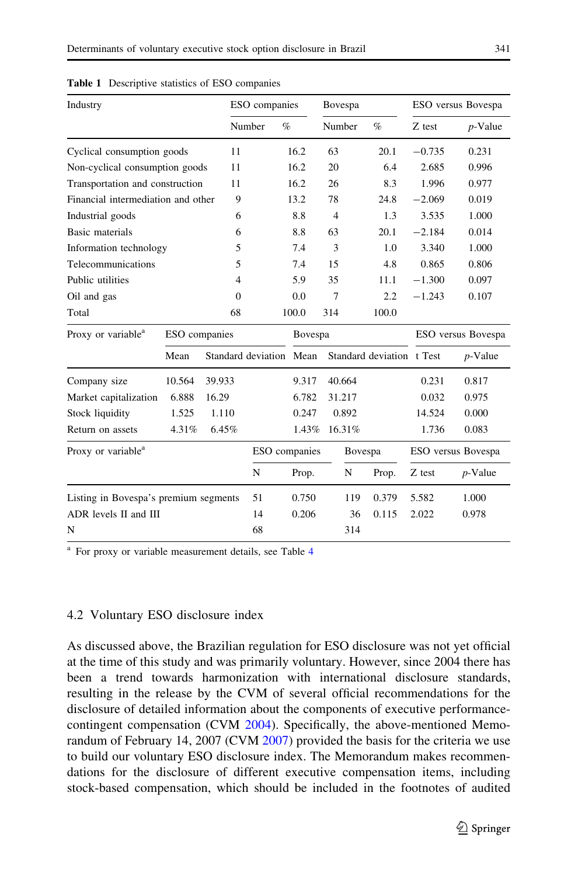| Industry                              |               |                | ESO companies           |               | Bovespa        |                           |          | ESO versus Bovespa |
|---------------------------------------|---------------|----------------|-------------------------|---------------|----------------|---------------------------|----------|--------------------|
|                                       |               |                | Number                  | $\%$          | Number         | $\%$                      | Z test   | $p$ -Value         |
| Cyclical consumption goods            |               | 11             |                         | 16.2          | 63             | 20.1                      | $-0.735$ | 0.231              |
| Non-cyclical consumption goods        |               | 11             |                         | 16.2          | 20             | 6.4                       | 2.685    | 0.996              |
| Transportation and construction       |               | 11             |                         | 16.2          | 26             | 8.3                       | 1.996    | 0.977              |
| Financial intermediation and other    |               | 9              |                         | 13.2          | 78             | 24.8                      | $-2.069$ | 0.019              |
| Industrial goods                      |               | 6              |                         | 8.8           | $\overline{4}$ | 1.3                       | 3.535    | 1.000              |
| <b>Basic materials</b>                |               | 6              |                         | 8.8           | 63             | 20.1                      | $-2.184$ | 0.014              |
| Information technology                |               | 5              |                         | 7.4           | 3              | 1.0                       | 3.340    | 1.000              |
| Telecommunications                    |               | 5              |                         | 7.4           | 15             | 4.8                       | 0.865    | 0.806              |
| Public utilities                      |               | $\overline{4}$ |                         | 5.9           | 35             | 11.1                      | $-1.300$ | 0.097              |
| Oil and gas                           |               | $\theta$       |                         | 0.0           | 7              | 2.2                       | $-1.243$ | 0.107              |
| Total                                 |               | 68             |                         | 100.0         | 314            | 100.0                     |          |                    |
| Proxy or variable <sup>a</sup>        | ESO companies |                |                         | Bovespa       |                |                           |          | ESO versus Bovespa |
|                                       | Mean          |                | Standard deviation Mean |               |                | Standard deviation t Test |          | $p$ -Value         |
| Company size                          | 10.564        | 39.933         |                         | 9.317         | 40.664         |                           | 0.231    | 0.817              |
| Market capitalization                 | 6.888         | 16.29          |                         | 6.782         | 31.217         |                           | 0.032    | 0.975              |
| <b>Stock liquidity</b>                | 1.525         | 1.110          |                         | 0.247         | 0.892          |                           | 14.524   | 0.000              |
| Return on assets                      | 4.31%         | 6.45%          |                         | 1.43%         | 16.31%         |                           | 1.736    | 0.083              |
| Proxy or variable <sup>a</sup>        |               |                |                         | ESO companies | Bovespa        |                           |          | ESO versus Bovespa |
|                                       |               |                | N                       | Prop.         | N              | Prop.                     | Z test   | $p$ -Value         |
| Listing in Bovespa's premium segments |               |                | 51                      | 0.750         | 119            | 0.379                     | 5.582    | 1.000              |
| ADR levels II and III                 |               |                | 14                      | 0.206         | 36             | 0.115                     | 2.022    | 0.978              |
| N                                     |               |                | 68                      |               | 314            |                           |          |                    |

<span id="page-10-0"></span>Table 1 Descriptive statistics of ESO companies

<sup>a</sup> For proxy or variable measurement details, see Table [4](#page-15-0)

## 4.2 Voluntary ESO disclosure index

As discussed above, the Brazilian regulation for ESO disclosure was not yet official at the time of this study and was primarily voluntary. However, since 2004 there has been a trend towards harmonization with international disclosure standards, resulting in the release by the CVM of several official recommendations for the disclosure of detailed information about the components of executive performancecontingent compensation (CVM [2004](#page-28-0)). Specifically, the above-mentioned Memorandum of February 14, 2007 (CVM [2007\)](#page-28-0) provided the basis for the criteria we use to build our voluntary ESO disclosure index. The Memorandum makes recommendations for the disclosure of different executive compensation items, including stock-based compensation, which should be included in the footnotes of audited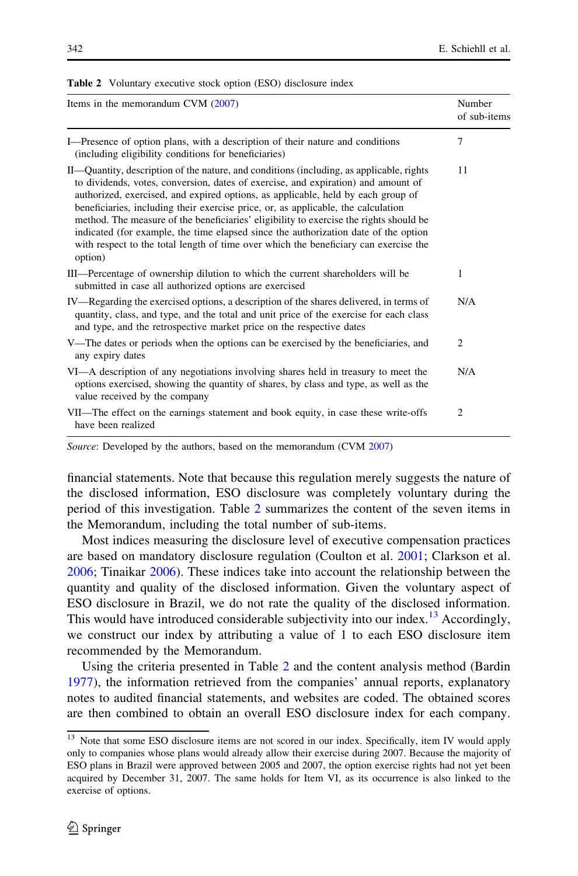| Items in the memorandum CVM $(2007)$                                                                                                                                                                                                                                                                                                                                                                                                                                                                                                                                                                                                       | Number<br>of sub-items |
|--------------------------------------------------------------------------------------------------------------------------------------------------------------------------------------------------------------------------------------------------------------------------------------------------------------------------------------------------------------------------------------------------------------------------------------------------------------------------------------------------------------------------------------------------------------------------------------------------------------------------------------------|------------------------|
| I—Presence of option plans, with a description of their nature and conditions<br>(including eligibility conditions for beneficiaries)                                                                                                                                                                                                                                                                                                                                                                                                                                                                                                      | 7                      |
| II—Quantity, description of the nature, and conditions (including, as applicable, rights<br>to dividends, votes, conversion, dates of exercise, and expiration) and amount of<br>authorized, exercised, and expired options, as applicable, held by each group of<br>beneficiaries, including their exercise price, or, as applicable, the calculation<br>method. The measure of the beneficiaries' eligibility to exercise the rights should be<br>indicated (for example, the time elapsed since the authorization date of the option<br>with respect to the total length of time over which the beneficiary can exercise the<br>option) | 11                     |
| III—Percentage of ownership dilution to which the current shareholders will be<br>submitted in case all authorized options are exercised                                                                                                                                                                                                                                                                                                                                                                                                                                                                                                   | 1                      |
| IV—Regarding the exercised options, a description of the shares delivered, in terms of<br>quantity, class, and type, and the total and unit price of the exercise for each class<br>and type, and the retrospective market price on the respective dates                                                                                                                                                                                                                                                                                                                                                                                   | N/A                    |
| V—The dates or periods when the options can be exercised by the beneficiaries, and<br>any expiry dates                                                                                                                                                                                                                                                                                                                                                                                                                                                                                                                                     | 2                      |
| VI—A description of any negotiations involving shares held in treasury to meet the<br>options exercised, showing the quantity of shares, by class and type, as well as the<br>value received by the company                                                                                                                                                                                                                                                                                                                                                                                                                                | N/A                    |
| VII—The effect on the earnings statement and book equity, in case these write-offs<br>have been realized                                                                                                                                                                                                                                                                                                                                                                                                                                                                                                                                   | $\overline{2}$         |

#### Table 2 Voluntary executive stock option (ESO) disclosure index

Source: Developed by the authors, based on the memorandum (CVM [2007](#page-28-0))

financial statements. Note that because this regulation merely suggests the nature of the disclosed information, ESO disclosure was completely voluntary during the period of this investigation. Table 2 summarizes the content of the seven items in the Memorandum, including the total number of sub-items.

Most indices measuring the disclosure level of executive compensation practices are based on mandatory disclosure regulation (Coulton et al. [2001](#page-28-0); Clarkson et al. [2006;](#page-28-0) Tinaikar [2006\)](#page-29-0). These indices take into account the relationship between the quantity and quality of the disclosed information. Given the voluntary aspect of ESO disclosure in Brazil, we do not rate the quality of the disclosed information. This would have introduced considerable subjectivity into our index.<sup>13</sup> Accordingly, we construct our index by attributing a value of 1 to each ESO disclosure item recommended by the Memorandum.

Using the criteria presented in Table 2 and the content analysis method (Bardin [1977\)](#page-27-0), the information retrieved from the companies' annual reports, explanatory notes to audited financial statements, and websites are coded. The obtained scores are then combined to obtain an overall ESO disclosure index for each company.

<sup>&</sup>lt;sup>13</sup> Note that some ESO disclosure items are not scored in our index. Specifically, item IV would apply only to companies whose plans would already allow their exercise during 2007. Because the majority of ESO plans in Brazil were approved between 2005 and 2007, the option exercise rights had not yet been acquired by December 31, 2007. The same holds for Item VI, as its occurrence is also linked to the exercise of options.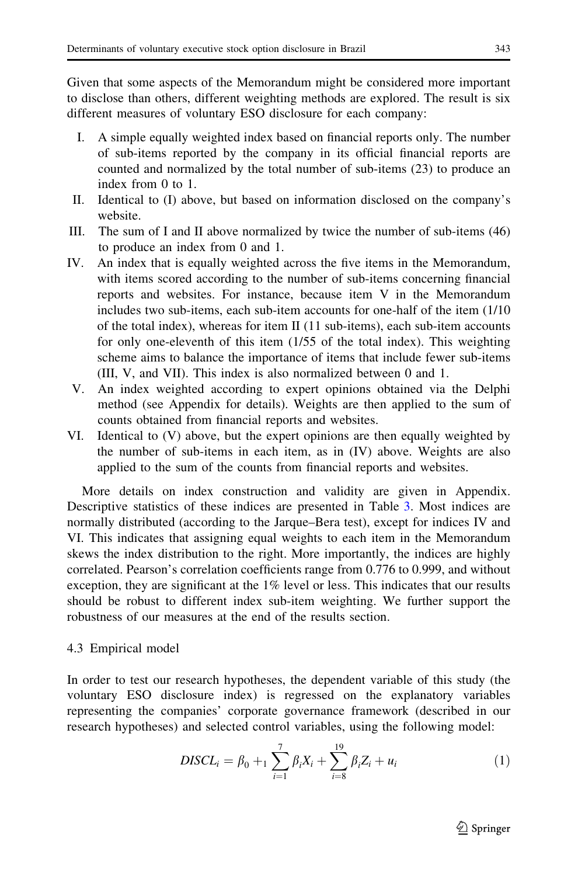Given that some aspects of the Memorandum might be considered more important to disclose than others, different weighting methods are explored. The result is six different measures of voluntary ESO disclosure for each company:

- I. A simple equally weighted index based on financial reports only. The number of sub-items reported by the company in its official financial reports are counted and normalized by the total number of sub-items (23) to produce an index from 0 to 1.
- II. Identical to (I) above, but based on information disclosed on the company's website.
- III. The sum of I and II above normalized by twice the number of sub-items (46) to produce an index from 0 and 1.
- IV. An index that is equally weighted across the five items in the Memorandum, with items scored according to the number of sub-items concerning financial reports and websites. For instance, because item V in the Memorandum includes two sub-items, each sub-item accounts for one-half of the item (1/10 of the total index), whereas for item II (11 sub-items), each sub-item accounts for only one-eleventh of this item (1/55 of the total index). This weighting scheme aims to balance the importance of items that include fewer sub-items (III, V, and VII). This index is also normalized between 0 and 1.
- V. An index weighted according to expert opinions obtained via the Delphi method (see Appendix for details). Weights are then applied to the sum of counts obtained from financial reports and websites.
- VI. Identical to (V) above, but the expert opinions are then equally weighted by the number of sub-items in each item, as in (IV) above. Weights are also applied to the sum of the counts from financial reports and websites.

More details on index construction and validity are given in Appendix. Descriptive statistics of these indices are presented in Table [3](#page-13-0). Most indices are normally distributed (according to the Jarque–Bera test), except for indices IV and VI. This indicates that assigning equal weights to each item in the Memorandum skews the index distribution to the right. More importantly, the indices are highly correlated. Pearson's correlation coefficients range from 0.776 to 0.999, and without exception, they are significant at the 1% level or less. This indicates that our results should be robust to different index sub-item weighting. We further support the robustness of our measures at the end of the results section.

## 4.3 Empirical model

In order to test our research hypotheses, the dependent variable of this study (the voluntary ESO disclosure index) is regressed on the explanatory variables representing the companies' corporate governance framework (described in our research hypotheses) and selected control variables, using the following model:

$$
DISCL_i = \beta_0 + 1 \sum_{i=1}^{7} \beta_i X_i + \sum_{i=8}^{19} \beta_i Z_i + u_i
$$
 (1)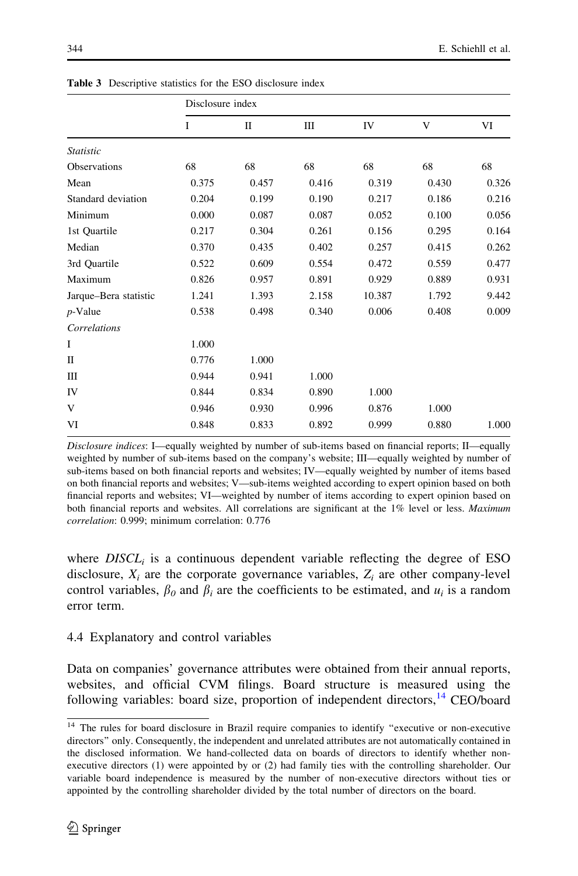|                       | Disclosure index |       |       |        |       |       |
|-----------------------|------------------|-------|-------|--------|-------|-------|
|                       | I                | П     | Ш     | IV     | V     | VI    |
| <b>Statistic</b>      |                  |       |       |        |       |       |
| Observations          | 68               | 68    | 68    | 68     | 68    | 68    |
| Mean                  | 0.375            | 0.457 | 0.416 | 0.319  | 0.430 | 0.326 |
| Standard deviation    | 0.204            | 0.199 | 0.190 | 0.217  | 0.186 | 0.216 |
| Minimum               | 0.000            | 0.087 | 0.087 | 0.052  | 0.100 | 0.056 |
| 1st Quartile          | 0.217            | 0.304 | 0.261 | 0.156  | 0.295 | 0.164 |
| Median                | 0.370            | 0.435 | 0.402 | 0.257  | 0.415 | 0.262 |
| 3rd Quartile          | 0.522            | 0.609 | 0.554 | 0.472  | 0.559 | 0.477 |
| Maximum               | 0.826            | 0.957 | 0.891 | 0.929  | 0.889 | 0.931 |
| Jarque-Bera statistic | 1.241            | 1.393 | 2.158 | 10.387 | 1.792 | 9.442 |
| $p$ -Value            | 0.538            | 0.498 | 0.340 | 0.006  | 0.408 | 0.009 |
| Correlations          |                  |       |       |        |       |       |
| I                     | 1.000            |       |       |        |       |       |
| $\mathbf{I}$          | 0.776            | 1.000 |       |        |       |       |
| Ш                     | 0.944            | 0.941 | 1.000 |        |       |       |
| IV                    | 0.844            | 0.834 | 0.890 | 1.000  |       |       |
| V                     | 0.946            | 0.930 | 0.996 | 0.876  | 1.000 |       |
| VI                    | 0.848            | 0.833 | 0.892 | 0.999  | 0.880 | 1.000 |

<span id="page-13-0"></span>Table 3 Descriptive statistics for the ESO disclosure index

Disclosure indices: I—equally weighted by number of sub-items based on financial reports; II—equally weighted by number of sub-items based on the company's website; III—equally weighted by number of sub-items based on both financial reports and websites; IV—equally weighted by number of items based on both financial reports and websites; V—sub-items weighted according to expert opinion based on both financial reports and websites; VI—weighted by number of items according to expert opinion based on both financial reports and websites. All correlations are significant at the 1% level or less. Maximum correlation: 0.999; minimum correlation: 0.776

where  $DISCL_i$  is a continuous dependent variable reflecting the degree of ESO disclosure,  $X_i$  are the corporate governance variables,  $Z_i$  are other company-level control variables,  $\beta_0$  and  $\beta_i$  are the coefficients to be estimated, and  $u_i$  is a random error term.

# 4.4 Explanatory and control variables

Data on companies' governance attributes were obtained from their annual reports, websites, and official CVM filings. Board structure is measured using the following variables: board size, proportion of independent directors,<sup>14</sup> CEO/board

<sup>&</sup>lt;sup>14</sup> The rules for board disclosure in Brazil require companies to identify "executive or non-executive directors'' only. Consequently, the independent and unrelated attributes are not automatically contained in the disclosed information. We hand-collected data on boards of directors to identify whether nonexecutive directors (1) were appointed by or (2) had family ties with the controlling shareholder. Our variable board independence is measured by the number of non-executive directors without ties or appointed by the controlling shareholder divided by the total number of directors on the board.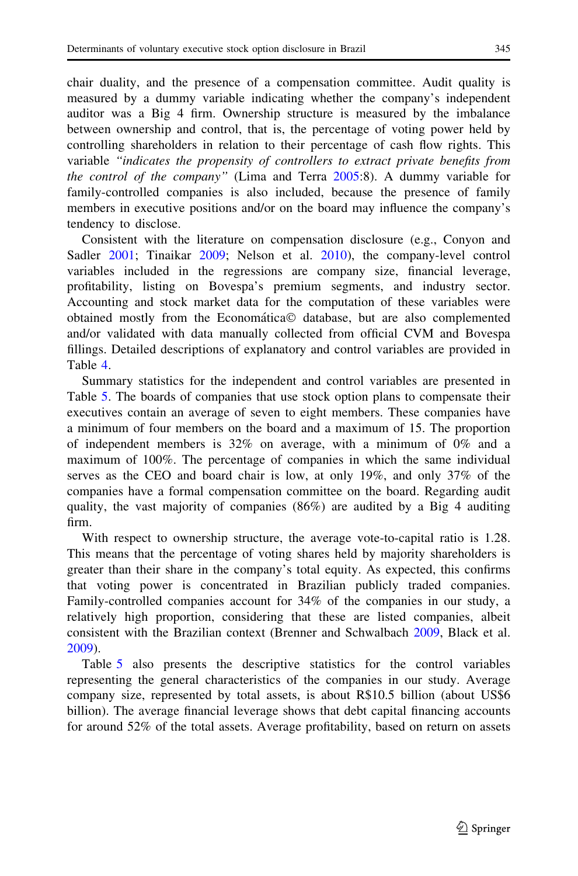chair duality, and the presence of a compensation committee. Audit quality is measured by a dummy variable indicating whether the company's independent auditor was a Big 4 firm. Ownership structure is measured by the imbalance between ownership and control, that is, the percentage of voting power held by controlling shareholders in relation to their percentage of cash flow rights. This variable ''indicates the propensity of controllers to extract private benefits from the control of the company'' (Lima and Terra [2005](#page-29-0):8). A dummy variable for family-controlled companies is also included, because the presence of family members in executive positions and/or on the board may influence the company's tendency to disclose.

Consistent with the literature on compensation disclosure (e.g., Conyon and Sadler [2001;](#page-28-0) Tinaikar [2009;](#page-30-0) Nelson et al. [2010](#page-29-0)), the company-level control variables included in the regressions are company size, financial leverage, profitability, listing on Bovespa's premium segments, and industry sector. Accounting and stock market data for the computation of these variables were obtained mostly from the Economática© database, but are also complemented and/or validated with data manually collected from official CVM and Bovespa fillings. Detailed descriptions of explanatory and control variables are provided in Table [4](#page-15-0).

Summary statistics for the independent and control variables are presented in Table [5](#page-16-0). The boards of companies that use stock option plans to compensate their executives contain an average of seven to eight members. These companies have a minimum of four members on the board and a maximum of 15. The proportion of independent members is 32% on average, with a minimum of 0% and a maximum of 100%. The percentage of companies in which the same individual serves as the CEO and board chair is low, at only 19%, and only 37% of the companies have a formal compensation committee on the board. Regarding audit quality, the vast majority of companies (86%) are audited by a Big 4 auditing firm.

With respect to ownership structure, the average vote-to-capital ratio is 1.28. This means that the percentage of voting shares held by majority shareholders is greater than their share in the company's total equity. As expected, this confirms that voting power is concentrated in Brazilian publicly traded companies. Family-controlled companies account for 34% of the companies in our study, a relatively high proportion, considering that these are listed companies, albeit consistent with the Brazilian context (Brenner and Schwalbach [2009,](#page-28-0) Black et al. [2009\)](#page-27-0).

Table [5](#page-16-0) also presents the descriptive statistics for the control variables representing the general characteristics of the companies in our study. Average company size, represented by total assets, is about R\$10.5 billion (about US\$6 billion). The average financial leverage shows that debt capital financing accounts for around 52% of the total assets. Average profitability, based on return on assets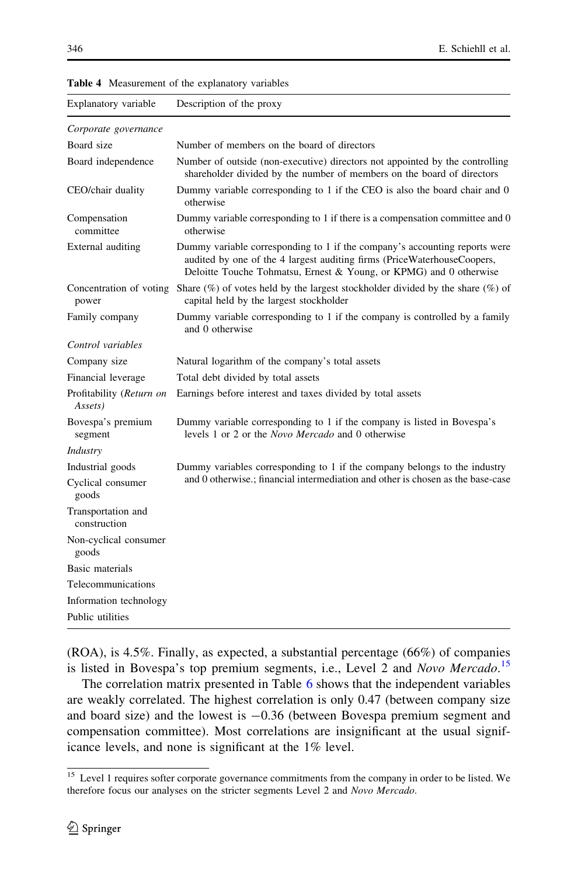| Explanatory variable | Description of the proxy                                          |
|----------------------|-------------------------------------------------------------------|
| Corporate governance |                                                                   |
| Board size           | Number of members on the boar                                     |
| Board independence   | Number of outside (non-executiv<br>shareholder divided by the nur |
| CEO/chair duality    | Dummy variable corresponding<br>otherwise                         |
| Compensation         | Dummy variable corresponding to                                   |

<span id="page-15-0"></span>Table 4 Measurement of the explanatory variables

| Corporate governance                |                                                                                                                                                                                                                             |
|-------------------------------------|-----------------------------------------------------------------------------------------------------------------------------------------------------------------------------------------------------------------------------|
| Board size                          | Number of members on the board of directors                                                                                                                                                                                 |
| Board independence                  | Number of outside (non-executive) directors not appointed by the controlling<br>shareholder divided by the number of members on the board of directors                                                                      |
| CEO/chair duality                   | Dummy variable corresponding to 1 if the CEO is also the board chair and 0<br>otherwise                                                                                                                                     |
| Compensation<br>committee           | Dummy variable corresponding to 1 if there is a compensation committee and 0<br>otherwise                                                                                                                                   |
| External auditing                   | Dummy variable corresponding to 1 if the company's accounting reports were<br>audited by one of the 4 largest auditing firms (PriceWaterhouseCoopers,<br>Deloitte Touche Tohmatsu, Ernest & Young, or KPMG) and 0 otherwise |
| Concentration of voting<br>power    | Share $(\%)$ of votes held by the largest stockholder divided by the share $(\%)$ of<br>capital held by the largest stockholder                                                                                             |
| Family company                      | Dummy variable corresponding to 1 if the company is controlled by a family<br>and 0 otherwise                                                                                                                               |
| Control variables                   |                                                                                                                                                                                                                             |
| Company size                        | Natural logarithm of the company's total assets                                                                                                                                                                             |
| Financial leverage                  | Total debt divided by total assets                                                                                                                                                                                          |
| Profitability (Return on<br>Assets) | Earnings before interest and taxes divided by total assets                                                                                                                                                                  |
| Bovespa's premium<br>segment        | Dummy variable corresponding to 1 if the company is listed in Bovespa's<br>levels 1 or 2 or the <i>Novo Mercado</i> and 0 otherwise                                                                                         |
| Industry                            |                                                                                                                                                                                                                             |
| Industrial goods                    | Dummy variables corresponding to 1 if the company belongs to the industry                                                                                                                                                   |
| Cyclical consumer<br>goods          | and 0 otherwise, financial intermediation and other is chosen as the base-case                                                                                                                                              |
| Transportation and<br>construction  |                                                                                                                                                                                                                             |
| Non-cyclical consumer<br>goods      |                                                                                                                                                                                                                             |
| <b>Basic materials</b>              |                                                                                                                                                                                                                             |
| Telecommunications                  |                                                                                                                                                                                                                             |
| Information technology              |                                                                                                                                                                                                                             |
| Public utilities                    |                                                                                                                                                                                                                             |
|                                     |                                                                                                                                                                                                                             |

(ROA), is 4.5%. Finally, as expected, a substantial percentage (66%) of companies is listed in Bovespa's top premium segments, i.e., Level 2 and Novo Mercado.<sup>15</sup>

The correlation matrix presented in Table [6](#page-17-0) shows that the independent variables are weakly correlated. The highest correlation is only 0.47 (between company size and board size) and the lowest is  $-0.36$  (between Bovespa premium segment and compensation committee). Most correlations are insignificant at the usual significance levels, and none is significant at the 1% level.

<sup>&</sup>lt;sup>15</sup> Level 1 requires softer corporate governance commitments from the company in order to be listed. We therefore focus our analyses on the stricter segments Level 2 and Novo Mercado.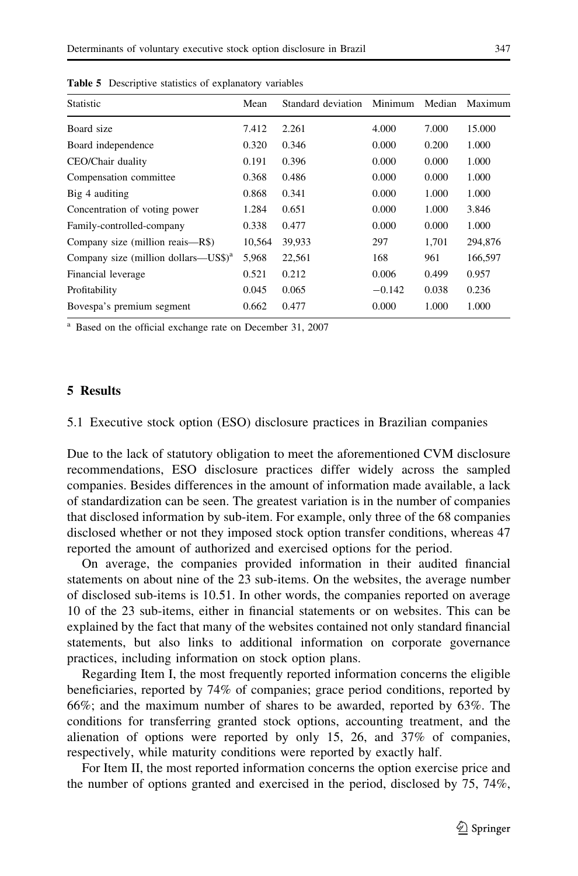| Statistic                                | Mean   | Standard deviation | Minimum  | Median | Maximum |
|------------------------------------------|--------|--------------------|----------|--------|---------|
| Board size                               | 7.412  | 2.261              | 4.000    | 7.000  | 15.000  |
| Board independence                       | 0.320  | 0.346              | 0.000    | 0.200  | 1.000   |
| CEO/Chair duality                        | 0.191  | 0.396              | 0.000    | 0.000  | 1.000   |
| Compensation committee                   | 0.368  | 0.486              | 0.000    | 0.000  | 1.000   |
| Big 4 auditing                           | 0.868  | 0.341              | 0.000    | 1.000  | 1.000   |
| Concentration of voting power            | 1.284  | 0.651              | 0.000    | 1.000  | 3.846   |
| Family-controlled-company                | 0.338  | 0.477              | 0.000    | 0.000  | 1.000   |
| Company size (million reais—R\$)         | 10.564 | 39.933             | 297      | 1.701  | 294,876 |
| Company size (million dollars— $USS^a$ ) | 5,968  | 22,561             | 168      | 961    | 166,597 |
| Financial leverage                       | 0.521  | 0.212              | 0.006    | 0.499  | 0.957   |
| Profitability                            | 0.045  | 0.065              | $-0.142$ | 0.038  | 0.236   |
| Bovespa's premium segment                | 0.662  | 0.477              | 0.000    | 1.000  | 1.000   |

<span id="page-16-0"></span>Table 5 Descriptive statistics of explanatory variables

<sup>a</sup> Based on the official exchange rate on December 31, 2007

## 5 Results

5.1 Executive stock option (ESO) disclosure practices in Brazilian companies

Due to the lack of statutory obligation to meet the aforementioned CVM disclosure recommendations, ESO disclosure practices differ widely across the sampled companies. Besides differences in the amount of information made available, a lack of standardization can be seen. The greatest variation is in the number of companies that disclosed information by sub-item. For example, only three of the 68 companies disclosed whether or not they imposed stock option transfer conditions, whereas 47 reported the amount of authorized and exercised options for the period.

On average, the companies provided information in their audited financial statements on about nine of the 23 sub-items. On the websites, the average number of disclosed sub-items is 10.51. In other words, the companies reported on average 10 of the 23 sub-items, either in financial statements or on websites. This can be explained by the fact that many of the websites contained not only standard financial statements, but also links to additional information on corporate governance practices, including information on stock option plans.

Regarding Item I, the most frequently reported information concerns the eligible beneficiaries, reported by 74% of companies; grace period conditions, reported by 66%; and the maximum number of shares to be awarded, reported by 63%. The conditions for transferring granted stock options, accounting treatment, and the alienation of options were reported by only 15, 26, and 37% of companies, respectively, while maturity conditions were reported by exactly half.

For Item II, the most reported information concerns the option exercise price and the number of options granted and exercised in the period, disclosed by 75, 74%,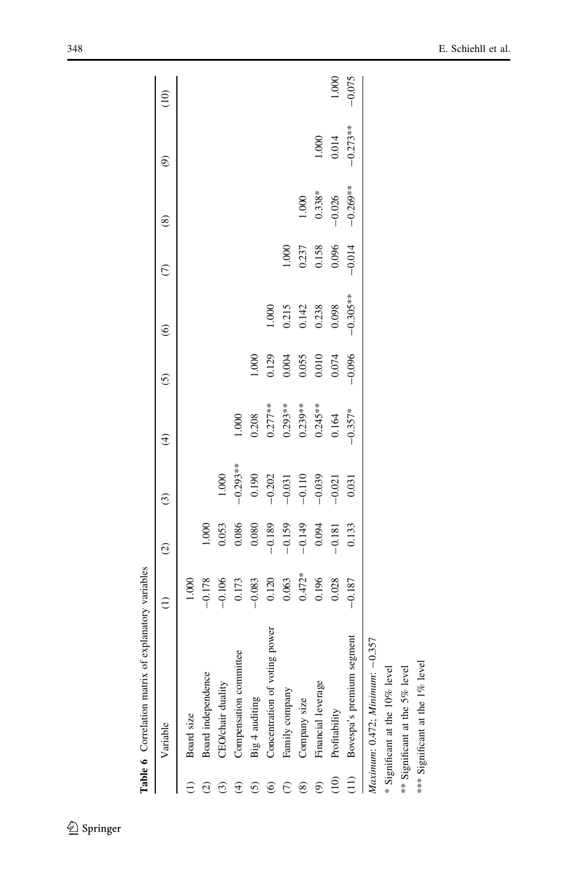|         | Table 6 Correlation matrix of explanatory variables |                                                                           |                      |                                              |               |          |                                                        |                |            |               |               |
|---------|-----------------------------------------------------|---------------------------------------------------------------------------|----------------------|----------------------------------------------|---------------|----------|--------------------------------------------------------|----------------|------------|---------------|---------------|
|         | Variable                                            | $\widehat{\Xi}$                                                           | $\odot$              | $\odot$                                      | $\widehat{f}$ | <u>ଚ</u> | $\widehat{\mathbf{e}}$                                 | $\epsilon$     | ⊛          | $\widehat{e}$ | $\frac{1}{2}$ |
|         | Board size                                          | $1.000\,$                                                                 |                      |                                              |               |          |                                                        |                |            |               |               |
|         | Board independence                                  |                                                                           | 1.000                |                                              |               |          |                                                        |                |            |               |               |
|         | CEO/chair duality                                   | $-0.178$<br>$-0.106$<br>$0.173$<br>0.083                                  | 0.053                | 1.000                                        |               |          |                                                        |                |            |               |               |
|         | ttee<br>Compensation commit                         |                                                                           | 0.086                | $-0.293**$                                   | 1.000         |          |                                                        |                |            |               |               |
|         | Big 4 auditing                                      |                                                                           | 0.080                |                                              | 0.208         | $1.000$  |                                                        |                |            |               |               |
| $\circ$ | Concentration of voting power                       |                                                                           | $-0.189$             |                                              | $0.277***$    | 0.129    | 1.000                                                  |                |            |               |               |
|         | Family company                                      | $\begin{array}{c} 0.120 \\ 0.063 \\ 0.472* \\ 0.196 \\ 0.028 \end{array}$ |                      | $-0.190$<br>$-0.202$<br>$-0.031$<br>$-0.110$ | $0.293**$     | 0.004    |                                                        | 1.000          |            |               |               |
| įο      | Company size                                        |                                                                           | $-0.159$<br>$-0.149$ |                                              | $0.239***$    | 0.055    | $\begin{array}{c} 0.215 \\ 0.142 \\ 0.238 \end{array}$ | 0.237          | 1.000      |               |               |
|         | Financial leverage                                  |                                                                           | 0.094                | $-0.039$                                     | $0.245**$     | 0.010    |                                                        | 0.158<br>0.096 | $0.338*$   | $1.000$       |               |
|         | Profitability                                       |                                                                           | $-0.181$             | $-0.021$                                     | 0.164         | 0.074    | 0.098                                                  |                | $-0.026$   | $0.014\,$     | 1.000         |
|         | Bovespa's premium segment                           | $-0.187$                                                                  | 0.133                | 0.031                                        | $-0.357*$     | $-0.096$ | $-0.305***$                                            | $-0.014$       | $-0.269**$ | $-0.273**$    | $-0.075$      |
|         | Maximum: 0.472; Minimum: -0.357                     |                                                                           |                      |                                              |               |          |                                                        |                |            |               |               |
|         | * Significant at the 10% level                      |                                                                           |                      |                                              |               |          |                                                        |                |            |               |               |
|         | ** Significant at the 5% level                      |                                                                           |                      |                                              |               |          |                                                        |                |            |               |               |
|         | *** Significant at the 1% leve!                     |                                                                           |                      |                                              |               |          |                                                        |                |            |               |               |

<span id="page-17-0"></span>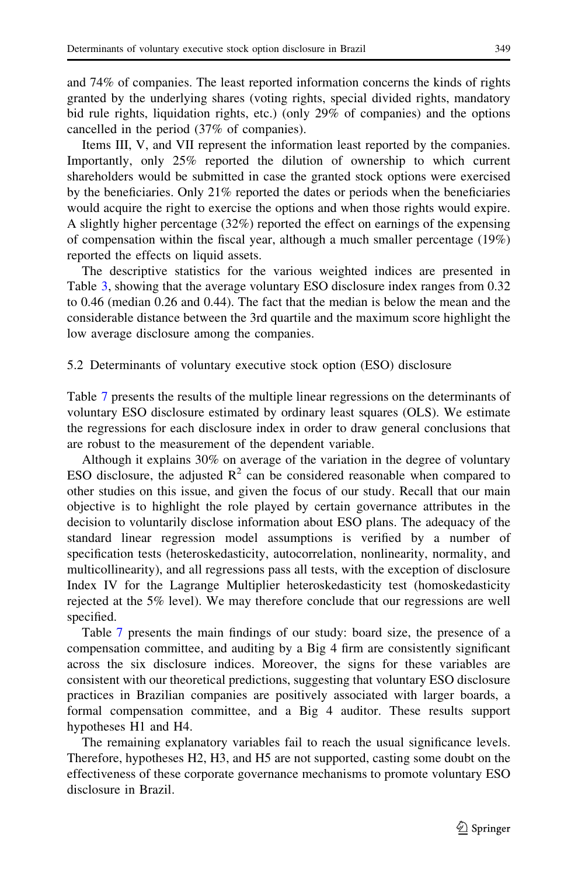and 74% of companies. The least reported information concerns the kinds of rights granted by the underlying shares (voting rights, special divided rights, mandatory bid rule rights, liquidation rights, etc.) (only 29% of companies) and the options cancelled in the period (37% of companies).

Items III, V, and VII represent the information least reported by the companies. Importantly, only 25% reported the dilution of ownership to which current shareholders would be submitted in case the granted stock options were exercised by the beneficiaries. Only 21% reported the dates or periods when the beneficiaries would acquire the right to exercise the options and when those rights would expire. A slightly higher percentage (32%) reported the effect on earnings of the expensing of compensation within the fiscal year, although a much smaller percentage (19%) reported the effects on liquid assets.

The descriptive statistics for the various weighted indices are presented in Table [3](#page-13-0), showing that the average voluntary ESO disclosure index ranges from 0.32 to 0.46 (median 0.26 and 0.44). The fact that the median is below the mean and the considerable distance between the 3rd quartile and the maximum score highlight the low average disclosure among the companies.

## 5.2 Determinants of voluntary executive stock option (ESO) disclosure

Table [7](#page-19-0) presents the results of the multiple linear regressions on the determinants of voluntary ESO disclosure estimated by ordinary least squares (OLS). We estimate the regressions for each disclosure index in order to draw general conclusions that are robust to the measurement of the dependent variable.

Although it explains 30% on average of the variation in the degree of voluntary ESO disclosure, the adjusted  $R^2$  can be considered reasonable when compared to other studies on this issue, and given the focus of our study. Recall that our main objective is to highlight the role played by certain governance attributes in the decision to voluntarily disclose information about ESO plans. The adequacy of the standard linear regression model assumptions is verified by a number of specification tests (heteroskedasticity, autocorrelation, nonlinearity, normality, and multicollinearity), and all regressions pass all tests, with the exception of disclosure Index IV for the Lagrange Multiplier heteroskedasticity test (homoskedasticity rejected at the 5% level). We may therefore conclude that our regressions are well specified.

Table [7](#page-19-0) presents the main findings of our study: board size, the presence of a compensation committee, and auditing by a Big 4 firm are consistently significant across the six disclosure indices. Moreover, the signs for these variables are consistent with our theoretical predictions, suggesting that voluntary ESO disclosure practices in Brazilian companies are positively associated with larger boards, a formal compensation committee, and a Big 4 auditor. These results support hypotheses H1 and H4.

The remaining explanatory variables fail to reach the usual significance levels. Therefore, hypotheses H2, H3, and H5 are not supported, casting some doubt on the effectiveness of these corporate governance mechanisms to promote voluntary ESO disclosure in Brazil.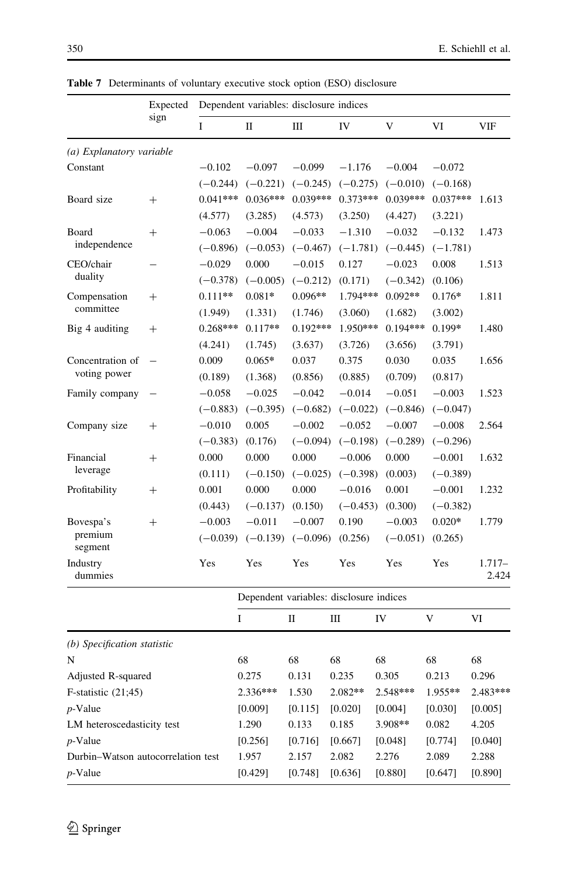|                                    | Expected           |            | Dependent variables: disclosure indices |              |            |            |            |                   |
|------------------------------------|--------------------|------------|-----------------------------------------|--------------|------------|------------|------------|-------------------|
|                                    | sign               | I          | П                                       | Ш            | IV         | V          | VI         | <b>VIF</b>        |
| (a) Explanatory variable           |                    |            |                                         |              |            |            |            |                   |
| Constant                           |                    | $-0.102$   | $-0.097$                                | $-0.099$     | $-1.176$   | $-0.004$   | $-0.072$   |                   |
|                                    |                    | $(-0.244)$ | $(-0.221)$                              | $(-0.245)$   | $(-0.275)$ | $(-0.010)$ | $(-0.168)$ |                   |
| Board size                         | $^{+}$             | $0.041***$ | $0.036***$                              | $0.039***$   | $0.373***$ | $0.039***$ | $0.037***$ | 1.613             |
|                                    |                    | (4.577)    | (3.285)                                 | (4.573)      | (3.250)    | (4.427)    | (3.221)    |                   |
| Board                              | $\hspace{0.1mm} +$ | $-0.063$   | $-0.004$                                | $-0.033$     | $-1.310$   | $-0.032$   | $-0.132$   | 1.473             |
| independence                       |                    | $(-0.896)$ | $(-0.053)$                              | $(-0.467)$   | $(-1.781)$ | $(-0.445)$ | $(-1.781)$ |                   |
| CEO/chair                          |                    | $-0.029$   | 0.000                                   | $-0.015$     | 0.127      | $-0.023$   | 0.008      | 1.513             |
| duality                            |                    | $(-0.378)$ | $(-0.005)$                              | $(-0.212)$   | (0.171)    | $(-0.342)$ | (0.106)    |                   |
| Compensation                       | $^{+}$             | $0.111**$  | $0.081*$                                | $0.096**$    | 1.794***   | $0.092**$  | $0.176*$   | 1.811             |
| committee                          |                    | (1.949)    | (1.331)                                 | (1.746)      | (3.060)    | (1.682)    | (3.002)    |                   |
| Big 4 auditing                     | $^+$               | $0.268***$ | $0.117**$                               | $0.192***$   | 1.950***   | $0.194***$ | 0.199*     | 1.480             |
|                                    |                    | (4.241)    | (1.745)                                 | (3.637)      | (3.726)    | (3.656)    | (3.791)    |                   |
| Concentration of                   |                    | 0.009      | $0.065*$                                | 0.037        | 0.375      | 0.030      | 0.035      | 1.656             |
| voting power                       |                    | (0.189)    | (1.368)                                 | (0.856)      | (0.885)    | (0.709)    | (0.817)    |                   |
| Family company                     |                    | $-0.058$   | $-0.025$                                | $-0.042$     | $-0.014$   | $-0.051$   | $-0.003$   | 1.523             |
|                                    |                    | $(-0.883)$ | $(-0.395)$                              | $(-0.682)$   | $(-0.022)$ | $(-0.846)$ | $(-0.047)$ |                   |
| Company size                       | $^+$               | $-0.010$   | 0.005                                   | $-0.002$     | $-0.052$   | $-0.007$   | $-0.008$   | 2.564             |
|                                    |                    | $(-0.383)$ | (0.176)                                 | $(-0.094)$   | $(-0.198)$ | $(-0.289)$ | $(-0.296)$ |                   |
| Financial                          | $^+$               | 0.000      | 0.000                                   | 0.000        | $-0.006$   | 0.000      | $-0.001$   | 1.632             |
| leverage                           |                    | (0.111)    | $(-0.150)$                              | $(-0.025)$   | $(-0.398)$ | (0.003)    | $(-0.389)$ |                   |
| Profitability                      | $^{+}$             | 0.001      | 0.000                                   | 0.000        | $-0.016$   | 0.001      | $-0.001$   | 1.232             |
|                                    |                    | (0.443)    | $(-0.137)$                              | (0.150)      | $(-0.453)$ | (0.300)    | $(-0.382)$ |                   |
| Bovespa's                          | $^{+}$             | $-0.003$   | $-0.011$                                | $-0.007$     | 0.190      | $-0.003$   | $0.020*$   | 1.779             |
| premium<br>segment                 |                    | $(-0.039)$ | $(-0.139)$                              | $(-0.096)$   | (0.256)    | $(-0.051)$ | (0.265)    |                   |
| Industry<br>dummies                |                    | Yes        | Yes                                     | Yes          | Yes        | Yes        | Yes        | $1.717-$<br>2.424 |
|                                    |                    |            | Dependent variables: disclosure indices |              |            |            |            |                   |
|                                    |                    |            | $\mathbf I$                             | $\mathbf{I}$ | Ш          | IV         | V          | VI                |
| (b) Specification statistic        |                    |            |                                         |              |            |            |            |                   |
| N                                  |                    |            | 68                                      | 68           | 68         | 68         | 68         | 68                |
| Adjusted R-squared                 |                    |            | 0.275                                   | 0.131        | 0.235      | 0.305      | 0.213      | 0.296             |
| $F-statistic (21;45)$              |                    |            | 2.336***                                | 1.530        | 2.082**    | 2.548***   | 1.955**    | 2.483***          |
| $p$ -Value                         |                    |            | [0.009]                                 | [0.115]      | [0.020]    | [0.004]    | [0.030]    | [0.005]           |
| LM heteroscedasticity test         |                    |            | 1.290                                   | 0.133        | 0.185      | 3.908**    | 0.082      | 4.205             |
| $p$ -Value                         |                    |            | [0.256]                                 | [0.716]      | [0.667]    | [0.048]    | [0.774]    | [0.040]           |
| Durbin-Watson autocorrelation test |                    |            | 1.957                                   | 2.157        | 2.082      | 2.276      | 2.089      | 2.288             |

p-Value [0.429] [0.748] [0.636] [0.880] [0.647] [0.890]

<span id="page-19-0"></span>Table 7 Determinants of voluntary executive stock option (ESO) disclosure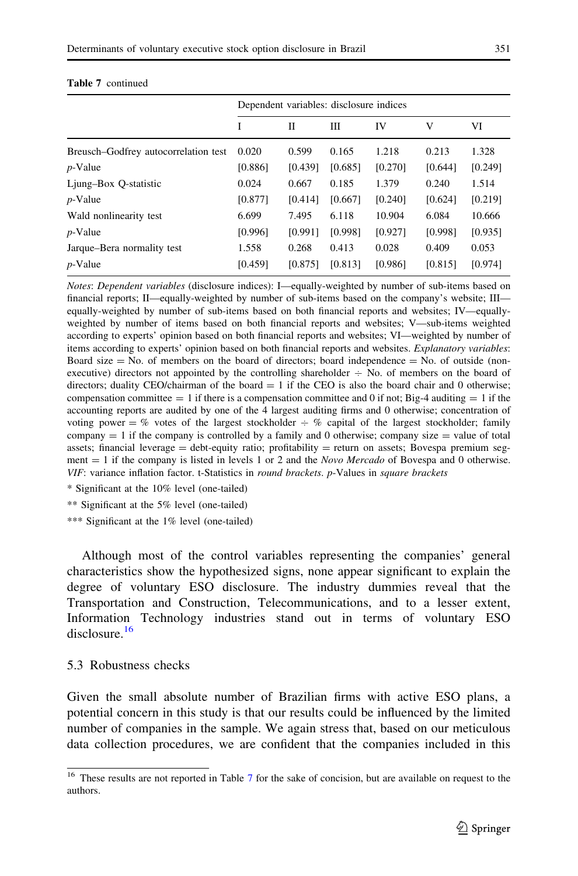|                                      |         | Dependent variables: disclosure indices |         |         |         |         |
|--------------------------------------|---------|-----------------------------------------|---------|---------|---------|---------|
|                                      |         | П                                       | Ш       | IV      | V       | VI      |
| Breusch-Godfrey autocorrelation test | 0.020   | 0.599                                   | 0.165   | 1.218   | 0.213   | 1.328   |
| $p$ -Value                           | [0.886] | [0.439]                                 | [0.685] | [0.270] | [0.644] | [0.249] |
| Ljung-Box Q-statistic                | 0.024   | 0.667                                   | 0.185   | 1.379   | 0.240   | 1.514   |
| $p$ -Value                           | [0.877] | [0.414]                                 | [0.667] | [0.240] | [0.624] | [0.219] |
| Wald nonlinearity test               | 6.699   | 7.495                                   | 6.118   | 10.904  | 6.084   | 10.666  |
| $p$ -Value                           | [0.996] | [0.991]                                 | [0.998] | [0.927] | [0.998] | [0.935] |
| Jarque–Bera normality test           | 1.558   | 0.268                                   | 0.413   | 0.028   | 0.409   | 0.053   |
| $p$ -Value                           | [0.459] | [0.875]                                 | [0.813] | [0.986] | [0.815] | [0.974] |

#### Table 7 continued

Notes: Dependent variables (disclosure indices): I—equally-weighted by number of sub-items based on financial reports; II—equally-weighted by number of sub-items based on the company's website; III equally-weighted by number of sub-items based on both financial reports and websites; IV—equallyweighted by number of items based on both financial reports and websites; V—sub-items weighted according to experts' opinion based on both financial reports and websites; VI—weighted by number of items according to experts' opinion based on both financial reports and websites. Explanatory variables: Board size  $=$  No. of members on the board of directors; board independence  $=$  No. of outside (nonexecutive) directors not appointed by the controlling shareholder  $\div$  No. of members on the board of directors; duality CEO/chairman of the board  $= 1$  if the CEO is also the board chair and 0 otherwise; compensation committee  $= 1$  if there is a compensation committee and 0 if not; Big-4 auditing  $= 1$  if the accounting reports are audited by one of the 4 largest auditing firms and 0 otherwise; concentration of voting power = % votes of the largest stockholder  $\div$  % capital of the largest stockholder; family company  $= 1$  if the company is controlled by a family and 0 otherwise; company size  $=$  value of total assets; financial leverage = debt-equity ratio; profitability = return on assets; Bovespa premium segment  $= 1$  if the company is listed in levels 1 or 2 and the *Novo Mercado* of Bovespa and 0 otherwise. VIF: variance inflation factor. t-Statistics in round brackets. p-Values in square brackets

\* Significant at the 10% level (one-tailed)

\*\* Significant at the 5% level (one-tailed)

\*\*\* Significant at the 1% level (one-tailed)

Although most of the control variables representing the companies' general characteristics show the hypothesized signs, none appear significant to explain the degree of voluntary ESO disclosure. The industry dummies reveal that the Transportation and Construction, Telecommunications, and to a lesser extent, Information Technology industries stand out in terms of voluntary ESO disclosure.<sup>16</sup>

## 5.3 Robustness checks

Given the small absolute number of Brazilian firms with active ESO plans, a potential concern in this study is that our results could be influenced by the limited number of companies in the sample. We again stress that, based on our meticulous data collection procedures, we are confident that the companies included in this

<sup>&</sup>lt;sup>16</sup> These results are not reported in Table [7](#page-19-0) for the sake of concision, but are available on request to the authors.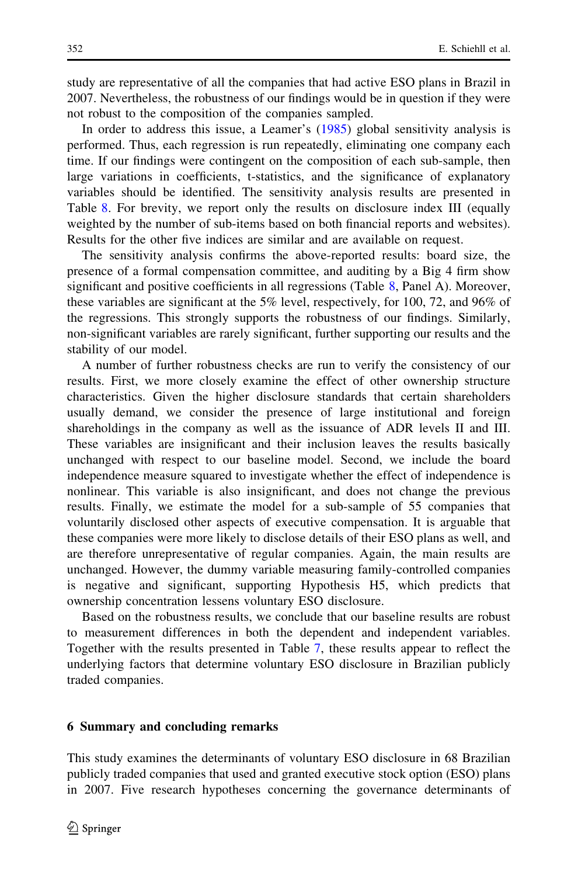study are representative of all the companies that had active ESO plans in Brazil in 2007. Nevertheless, the robustness of our findings would be in question if they were not robust to the composition of the companies sampled.

In order to address this issue, a Leamer's ([1985\)](#page-29-0) global sensitivity analysis is performed. Thus, each regression is run repeatedly, eliminating one company each time. If our findings were contingent on the composition of each sub-sample, then large variations in coefficients, t-statistics, and the significance of explanatory variables should be identified. The sensitivity analysis results are presented in Table [8](#page-22-0). For brevity, we report only the results on disclosure index III (equally weighted by the number of sub-items based on both financial reports and websites). Results for the other five indices are similar and are available on request.

The sensitivity analysis confirms the above-reported results: board size, the presence of a formal compensation committee, and auditing by a Big 4 firm show significant and positive coefficients in all regressions (Table [8,](#page-22-0) Panel A). Moreover, these variables are significant at the 5% level, respectively, for 100, 72, and 96% of the regressions. This strongly supports the robustness of our findings. Similarly, non-significant variables are rarely significant, further supporting our results and the stability of our model.

A number of further robustness checks are run to verify the consistency of our results. First, we more closely examine the effect of other ownership structure characteristics. Given the higher disclosure standards that certain shareholders usually demand, we consider the presence of large institutional and foreign shareholdings in the company as well as the issuance of ADR levels II and III. These variables are insignificant and their inclusion leaves the results basically unchanged with respect to our baseline model. Second, we include the board independence measure squared to investigate whether the effect of independence is nonlinear. This variable is also insignificant, and does not change the previous results. Finally, we estimate the model for a sub-sample of 55 companies that voluntarily disclosed other aspects of executive compensation. It is arguable that these companies were more likely to disclose details of their ESO plans as well, and are therefore unrepresentative of regular companies. Again, the main results are unchanged. However, the dummy variable measuring family-controlled companies is negative and significant, supporting Hypothesis H5, which predicts that ownership concentration lessens voluntary ESO disclosure.

Based on the robustness results, we conclude that our baseline results are robust to measurement differences in both the dependent and independent variables. Together with the results presented in Table [7](#page-19-0), these results appear to reflect the underlying factors that determine voluntary ESO disclosure in Brazilian publicly traded companies.

#### 6 Summary and concluding remarks

This study examines the determinants of voluntary ESO disclosure in 68 Brazilian publicly traded companies that used and granted executive stock option (ESO) plans in 2007. Five research hypotheses concerning the governance determinants of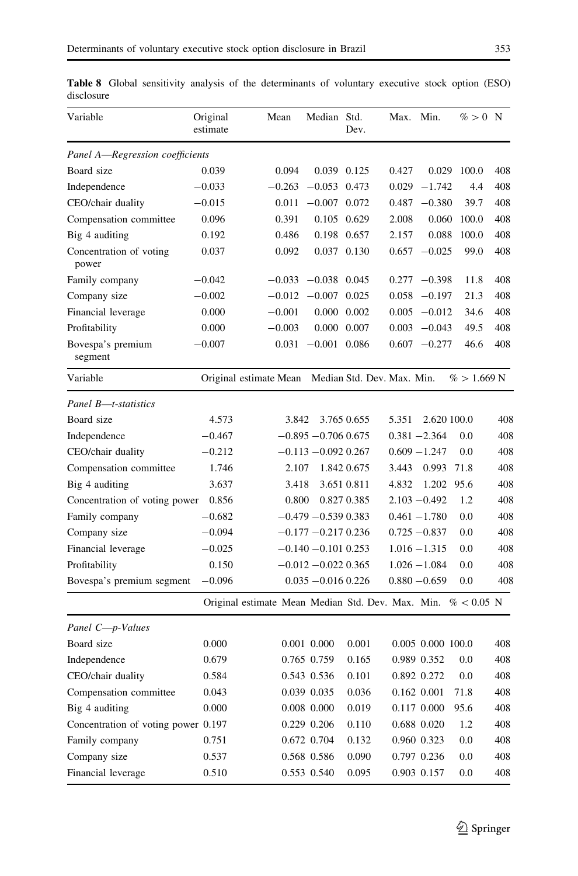| Variable                            | Original<br>estimate | Mean                                              | Median                 | Std.<br>Dev. | Max.                       | Min.              | $% > 0$ N    |     |
|-------------------------------------|----------------------|---------------------------------------------------|------------------------|--------------|----------------------------|-------------------|--------------|-----|
| Panel A-Regression coefficients     |                      |                                                   |                        |              |                            |                   |              |     |
| Board size                          | 0.039                | 0.094                                             | 0.039 0.125            |              | 0.427                      | 0.029             | 100.0        | 408 |
| Independence                        | $-0.033$             | $-0.263$                                          | $-0.053$               | 0.473        | 0.029                      | $-1.742$          | 4.4          | 408 |
| CEO/chair duality                   | $-0.015$             | 0.011                                             | $-0.007$               | 0.072        | 0.487                      | $-0.380$          | 39.7         | 408 |
| Compensation committee              | 0.096                | 0.391                                             | 0.105 0.629            |              | 2.008                      | 0.060             | 100.0        | 408 |
| Big 4 auditing                      | 0.192                | 0.486                                             | 0.198                  | 0.657        | 2.157                      | 0.088             | 100.0        | 408 |
| Concentration of voting<br>power    | 0.037                | 0.092                                             | 0.037                  | 0.130        | 0.657                      | $-0.025$          | 99.0         | 408 |
| Family company                      | $-0.042$             | $-0.033$                                          | $-0.038$ 0.045         |              |                            | $0.277 - 0.398$   | 11.8         | 408 |
| Company size                        | $-0.002$             | $-0.012$                                          | $-0.007$               | 0.025        | 0.058                      | $-0.197$          | 21.3         | 408 |
| Financial leverage                  | 0.000                | $-0.001$                                          | 0.000                  | 0.002        | 0.005                      | $-0.012$          | 34.6         | 408 |
| Profitability                       | 0.000                | $-0.003$                                          | 0.000                  | 0.007        | 0.003                      | $-0.043$          | 49.5         | 408 |
| Bovespa's premium<br>segment        | $-0.007$             | 0.031                                             | $-0.001$               | 0.086        | 0.607                      | $-0.277$          | 46.6         | 408 |
| Variable                            |                      | Original estimate Mean                            |                        |              | Median Std. Dev. Max. Min. |                   | % > 1.669 N  |     |
| Panel B—t-statistics                |                      |                                                   |                        |              |                            |                   |              |     |
| Board size                          | 4.573                | 3.842                                             |                        | 3.765 0.655  | 5.351                      | 2.620 100.0       |              | 408 |
| Independence                        | $-0.467$             |                                                   | $-0.895 - 0.706 0.675$ |              |                            | $0.381 - 2.364$   | 0.0          | 408 |
| CEO/chair duality                   | $-0.212$             |                                                   | $-0.113 - 0.092 0.267$ |              |                            | $0.609 - 1.247$   | 0.0          | 408 |
| Compensation committee              | 1.746                | 2.107                                             |                        | 1.842 0.675  | 3.443                      | 0.993             | 71.8         | 408 |
| Big 4 auditing                      | 3.637                | 3.418                                             |                        | 3.651 0.811  | 4.832                      | 1.202             | 95.6         | 408 |
| Concentration of voting power       | 0.856                | 0.800                                             |                        | 0.827 0.385  |                            | $2.103 - 0.492$   | 1.2          | 408 |
| Family company                      | $-0.682$             |                                                   | $-0.479 - 0.539 0.383$ |              |                            | $0.461 - 1.780$   | 0.0          | 408 |
| Company size                        | $-0.094$             |                                                   | $-0.177 - 0.217 0.236$ |              |                            | $0.725 - 0.837$   | 0.0          | 408 |
| Financial leverage                  | $-0.025$             |                                                   | $-0.140 - 0.101$ 0.253 |              |                            | $1.016 - 1.315$   | 0.0          | 408 |
| Profitability                       | 0.150                |                                                   | $-0.012 - 0.022 0.365$ |              |                            | $1.026 - 1.084$   | 0.0          | 408 |
| Bovespa's premium segment           | $-0.096$             |                                                   | $0.035 - 0.016 0.226$  |              |                            | $0.880 - 0.659$   | 0.0          | 408 |
|                                     |                      | Original estimate Mean Median Std. Dev. Max. Min. |                        |              |                            |                   | $% < 0.05$ N |     |
| Panel C-p-Values                    |                      |                                                   |                        |              |                            |                   |              |     |
| Board size                          | 0.000                |                                                   | 0.001 0.000            | 0.001        |                            | 0.005 0.000 100.0 |              | 408 |
| Independence                        | 0.679                |                                                   | 0.765 0.759            | 0.165        |                            | 0.989 0.352       | 0.0          | 408 |
| CEO/chair duality                   | 0.584                |                                                   | 0.543 0.536            | 0.101        |                            | 0.892 0.272       | 0.0          | 408 |
| Compensation committee              | 0.043                |                                                   | 0.039 0.035            | 0.036        |                            | 0.162 0.001       | 71.8         | 408 |
| Big 4 auditing                      | 0.000                |                                                   | 0.008 0.000            | 0.019        |                            | 0.117 0.000       | 95.6         | 408 |
| Concentration of voting power 0.197 |                      |                                                   | 0.229 0.206            | 0.110        |                            | 0.688 0.020       | 1.2          | 408 |
| Family company                      | 0.751                |                                                   | 0.672 0.704            | 0.132        |                            | 0.960 0.323       | 0.0          | 408 |
| Company size                        | 0.537                |                                                   | 0.568 0.586            | 0.090        |                            | 0.797 0.236       | 0.0          | 408 |
| Financial leverage                  | 0.510                |                                                   | 0.553 0.540            | 0.095        |                            | 0.903 0.157       | 0.0          | 408 |

<span id="page-22-0"></span>Table 8 Global sensitivity analysis of the determinants of voluntary executive stock option (ESO) disclosure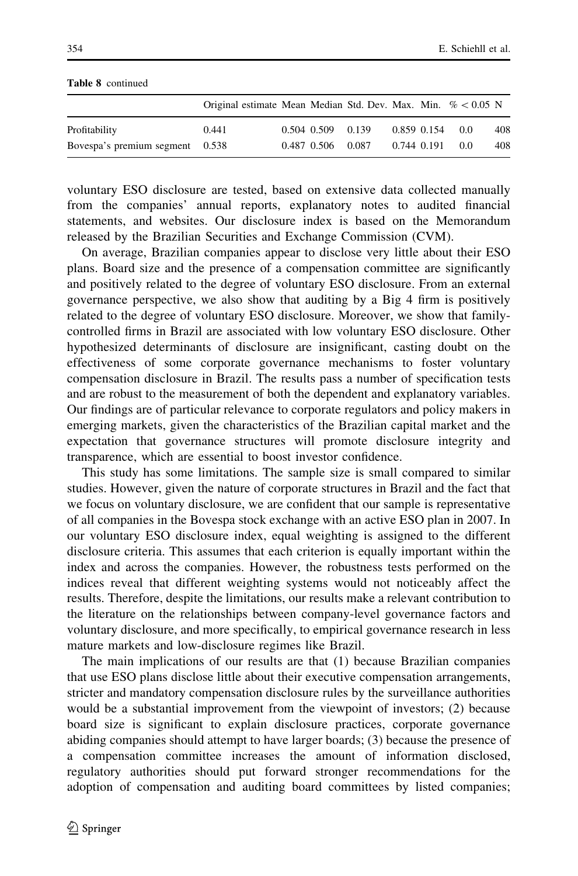|                                 | Original estimate Mean Median Std. Dev. Max. Min. $\% < 0.05$ N |                         |  |             |     |     |
|---------------------------------|-----------------------------------------------------------------|-------------------------|--|-------------|-----|-----|
| Profitability                   | 0.441                                                           | $0.504$ $0.509$ $0.139$ |  | 0.859 0.154 | 0.0 | 408 |
| Bovespa's premium segment 0.538 |                                                                 | 0.487 0.506 0.087       |  | 0.744 0.191 | 0.0 | 408 |

#### Table 8 continued

voluntary ESO disclosure are tested, based on extensive data collected manually from the companies' annual reports, explanatory notes to audited financial statements, and websites. Our disclosure index is based on the Memorandum released by the Brazilian Securities and Exchange Commission (CVM).

On average, Brazilian companies appear to disclose very little about their ESO plans. Board size and the presence of a compensation committee are significantly and positively related to the degree of voluntary ESO disclosure. From an external governance perspective, we also show that auditing by a Big 4 firm is positively related to the degree of voluntary ESO disclosure. Moreover, we show that familycontrolled firms in Brazil are associated with low voluntary ESO disclosure. Other hypothesized determinants of disclosure are insignificant, casting doubt on the effectiveness of some corporate governance mechanisms to foster voluntary compensation disclosure in Brazil. The results pass a number of specification tests and are robust to the measurement of both the dependent and explanatory variables. Our findings are of particular relevance to corporate regulators and policy makers in emerging markets, given the characteristics of the Brazilian capital market and the expectation that governance structures will promote disclosure integrity and transparence, which are essential to boost investor confidence.

This study has some limitations. The sample size is small compared to similar studies. However, given the nature of corporate structures in Brazil and the fact that we focus on voluntary disclosure, we are confident that our sample is representative of all companies in the Bovespa stock exchange with an active ESO plan in 2007. In our voluntary ESO disclosure index, equal weighting is assigned to the different disclosure criteria. This assumes that each criterion is equally important within the index and across the companies. However, the robustness tests performed on the indices reveal that different weighting systems would not noticeably affect the results. Therefore, despite the limitations, our results make a relevant contribution to the literature on the relationships between company-level governance factors and voluntary disclosure, and more specifically, to empirical governance research in less mature markets and low-disclosure regimes like Brazil.

The main implications of our results are that (1) because Brazilian companies that use ESO plans disclose little about their executive compensation arrangements, stricter and mandatory compensation disclosure rules by the surveillance authorities would be a substantial improvement from the viewpoint of investors; (2) because board size is significant to explain disclosure practices, corporate governance abiding companies should attempt to have larger boards; (3) because the presence of a compensation committee increases the amount of information disclosed, regulatory authorities should put forward stronger recommendations for the adoption of compensation and auditing board committees by listed companies;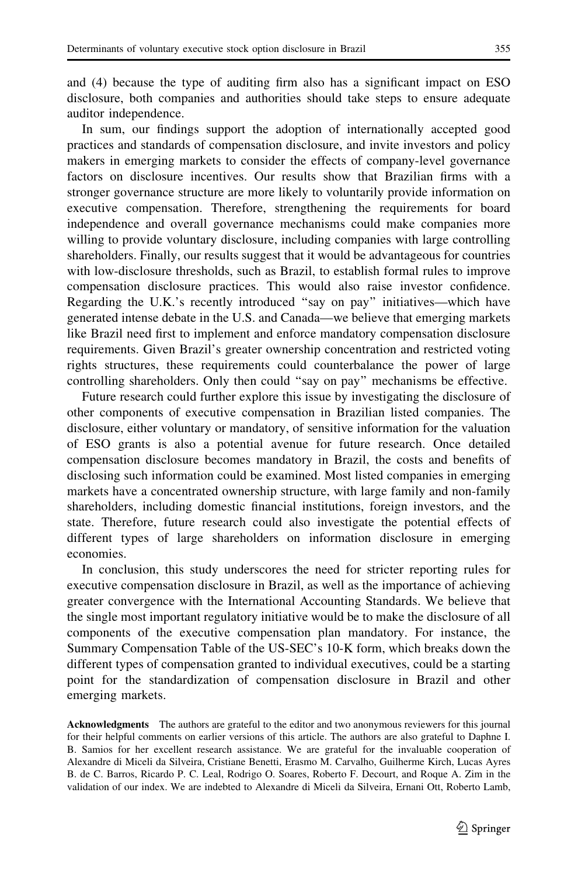and (4) because the type of auditing firm also has a significant impact on ESO disclosure, both companies and authorities should take steps to ensure adequate auditor independence.

In sum, our findings support the adoption of internationally accepted good practices and standards of compensation disclosure, and invite investors and policy makers in emerging markets to consider the effects of company-level governance factors on disclosure incentives. Our results show that Brazilian firms with a stronger governance structure are more likely to voluntarily provide information on executive compensation. Therefore, strengthening the requirements for board independence and overall governance mechanisms could make companies more willing to provide voluntary disclosure, including companies with large controlling shareholders. Finally, our results suggest that it would be advantageous for countries with low-disclosure thresholds, such as Brazil, to establish formal rules to improve compensation disclosure practices. This would also raise investor confidence. Regarding the U.K.'s recently introduced ''say on pay'' initiatives—which have generated intense debate in the U.S. and Canada—we believe that emerging markets like Brazil need first to implement and enforce mandatory compensation disclosure requirements. Given Brazil's greater ownership concentration and restricted voting rights structures, these requirements could counterbalance the power of large controlling shareholders. Only then could ''say on pay'' mechanisms be effective.

Future research could further explore this issue by investigating the disclosure of other components of executive compensation in Brazilian listed companies. The disclosure, either voluntary or mandatory, of sensitive information for the valuation of ESO grants is also a potential avenue for future research. Once detailed compensation disclosure becomes mandatory in Brazil, the costs and benefits of disclosing such information could be examined. Most listed companies in emerging markets have a concentrated ownership structure, with large family and non-family shareholders, including domestic financial institutions, foreign investors, and the state. Therefore, future research could also investigate the potential effects of different types of large shareholders on information disclosure in emerging economies.

In conclusion, this study underscores the need for stricter reporting rules for executive compensation disclosure in Brazil, as well as the importance of achieving greater convergence with the International Accounting Standards. We believe that the single most important regulatory initiative would be to make the disclosure of all components of the executive compensation plan mandatory. For instance, the Summary Compensation Table of the US-SEC's 10-K form, which breaks down the different types of compensation granted to individual executives, could be a starting point for the standardization of compensation disclosure in Brazil and other emerging markets.

Acknowledgments The authors are grateful to the editor and two anonymous reviewers for this journal for their helpful comments on earlier versions of this article. The authors are also grateful to Daphne I. B. Samios for her excellent research assistance. We are grateful for the invaluable cooperation of Alexandre di Miceli da Silveira, Cristiane Benetti, Erasmo M. Carvalho, Guilherme Kirch, Lucas Ayres B. de C. Barros, Ricardo P. C. Leal, Rodrigo O. Soares, Roberto F. Decourt, and Roque A. Zim in the validation of our index. We are indebted to Alexandre di Miceli da Silveira, Ernani Ott, Roberto Lamb,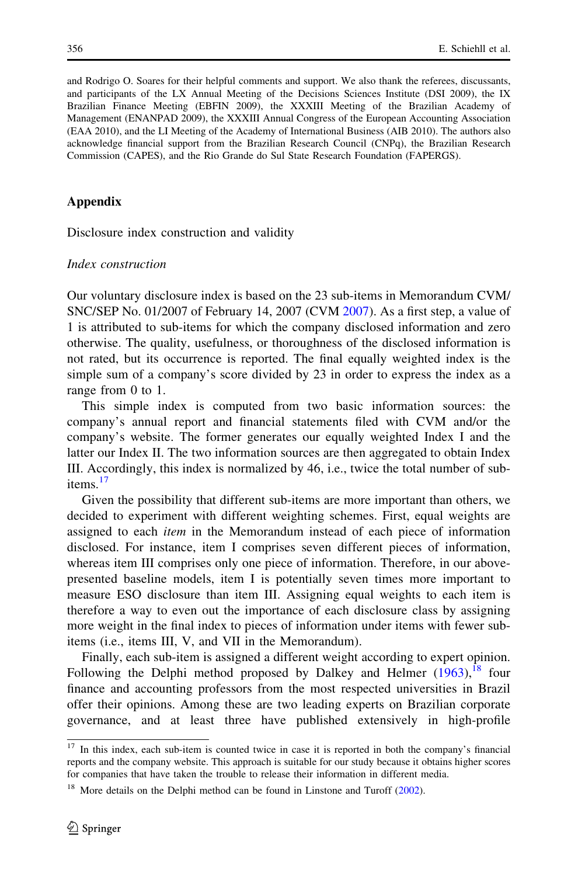and Rodrigo O. Soares for their helpful comments and support. We also thank the referees, discussants, and participants of the LX Annual Meeting of the Decisions Sciences Institute (DSI 2009), the IX Brazilian Finance Meeting (EBFIN 2009), the XXXIII Meeting of the Brazilian Academy of Management (ENANPAD 2009), the XXXIII Annual Congress of the European Accounting Association (EAA 2010), and the LI Meeting of the Academy of International Business (AIB 2010). The authors also acknowledge financial support from the Brazilian Research Council (CNPq), the Brazilian Research Commission (CAPES), and the Rio Grande do Sul State Research Foundation (FAPERGS).

# Appendix

Disclosure index construction and validity

#### Index construction

Our voluntary disclosure index is based on the 23 sub-items in Memorandum CVM/ SNC/SEP No. 01/2007 of February 14, 2007 (CVM [2007\)](#page-28-0). As a first step, a value of 1 is attributed to sub-items for which the company disclosed information and zero otherwise. The quality, usefulness, or thoroughness of the disclosed information is not rated, but its occurrence is reported. The final equally weighted index is the simple sum of a company's score divided by 23 in order to express the index as a range from 0 to 1.

This simple index is computed from two basic information sources: the company's annual report and financial statements filed with CVM and/or the company's website. The former generates our equally weighted Index I and the latter our Index II. The two information sources are then aggregated to obtain Index III. Accordingly, this index is normalized by 46, i.e., twice the total number of subitems. $17$ 

Given the possibility that different sub-items are more important than others, we decided to experiment with different weighting schemes. First, equal weights are assigned to each item in the Memorandum instead of each piece of information disclosed. For instance, item I comprises seven different pieces of information, whereas item III comprises only one piece of information. Therefore, in our abovepresented baseline models, item I is potentially seven times more important to measure ESO disclosure than item III. Assigning equal weights to each item is therefore a way to even out the importance of each disclosure class by assigning more weight in the final index to pieces of information under items with fewer subitems (i.e., items III, V, and VII in the Memorandum).

Finally, each sub-item is assigned a different weight according to expert opinion. Following the Delphi method proposed by Dalkey and Helmer  $(1963)$  $(1963)$ , <sup>18</sup> four finance and accounting professors from the most respected universities in Brazil offer their opinions. Among these are two leading experts on Brazilian corporate governance, and at least three have published extensively in high-profile

<sup>&</sup>lt;sup>17</sup> In this index, each sub-item is counted twice in case it is reported in both the company's financial reports and the company website. This approach is suitable for our study because it obtains higher scores for companies that have taken the trouble to release their information in different media.

<sup>&</sup>lt;sup>18</sup> More details on the Delphi method can be found in Linstone and Turoff  $(2002)$  $(2002)$ .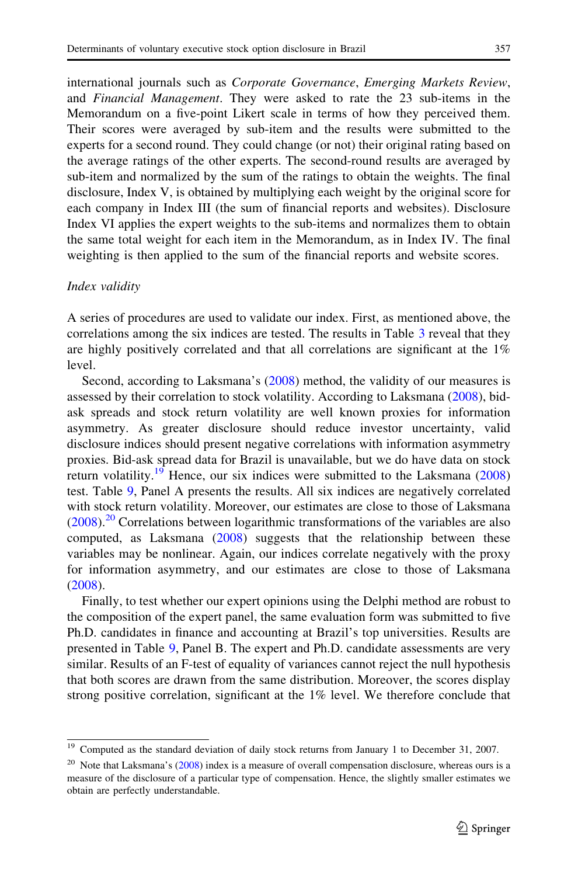international journals such as Corporate Governance, Emerging Markets Review, and Financial Management. They were asked to rate the 23 sub-items in the Memorandum on a five-point Likert scale in terms of how they perceived them. Their scores were averaged by sub-item and the results were submitted to the experts for a second round. They could change (or not) their original rating based on the average ratings of the other experts. The second-round results are averaged by sub-item and normalized by the sum of the ratings to obtain the weights. The final disclosure, Index V, is obtained by multiplying each weight by the original score for each company in Index III (the sum of financial reports and websites). Disclosure Index VI applies the expert weights to the sub-items and normalizes them to obtain the same total weight for each item in the Memorandum, as in Index IV. The final weighting is then applied to the sum of the financial reports and website scores.

# Index validity

A series of procedures are used to validate our index. First, as mentioned above, the correlations among the six indices are tested. The results in Table [3](#page-13-0) reveal that they are highly positively correlated and that all correlations are significant at the 1% level.

Second, according to Laksmana's [\(2008](#page-29-0)) method, the validity of our measures is assessed by their correlation to stock volatility. According to Laksmana ([2008\)](#page-29-0), bidask spreads and stock return volatility are well known proxies for information asymmetry. As greater disclosure should reduce investor uncertainty, valid disclosure indices should present negative correlations with information asymmetry proxies. Bid-ask spread data for Brazil is unavailable, but we do have data on stock return volatility.<sup>19</sup> Hence, our six indices were submitted to the Laksmana [\(2008](#page-29-0)) test. Table [9,](#page-27-0) Panel A presents the results. All six indices are negatively correlated with stock return volatility. Moreover, our estimates are close to those of Laksmana  $(2008).^{20}$  $(2008).^{20}$  Correlations between logarithmic transformations of the variables are also computed, as Laksmana ([2008\)](#page-29-0) suggests that the relationship between these variables may be nonlinear. Again, our indices correlate negatively with the proxy for information asymmetry, and our estimates are close to those of Laksmana [\(2008](#page-29-0)).

Finally, to test whether our expert opinions using the Delphi method are robust to the composition of the expert panel, the same evaluation form was submitted to five Ph.D. candidates in finance and accounting at Brazil's top universities. Results are presented in Table [9,](#page-27-0) Panel B. The expert and Ph.D. candidate assessments are very similar. Results of an F-test of equality of variances cannot reject the null hypothesis that both scores are drawn from the same distribution. Moreover, the scores display strong positive correlation, significant at the 1% level. We therefore conclude that

 $\frac{19}{19}$  Computed as the standard deviation of daily stock returns from January 1 to December 31, 2007.

<sup>&</sup>lt;sup>20</sup> Note that Laksmana's ([2008\)](#page-29-0) index is a measure of overall compensation disclosure, whereas ours is a measure of the disclosure of a particular type of compensation. Hence, the slightly smaller estimates we obtain are perfectly understandable.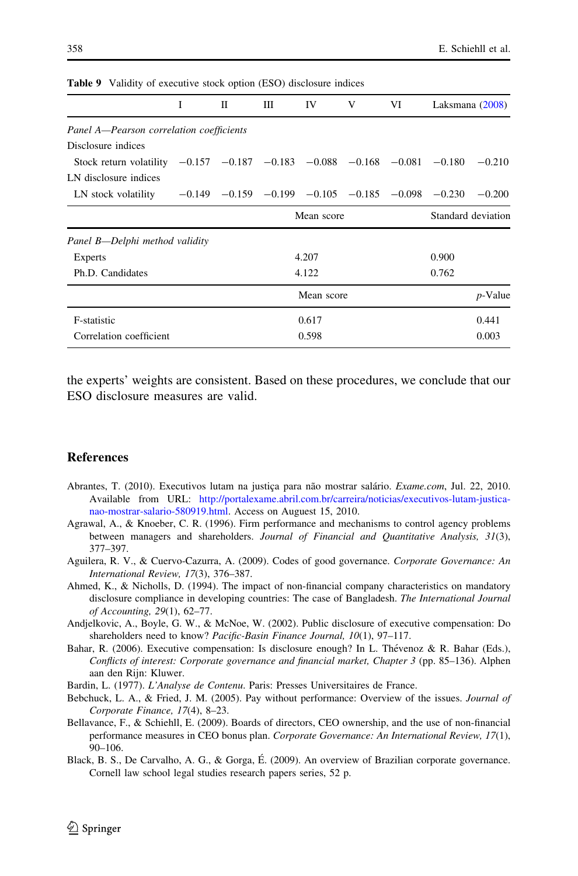|                                                                                                 | I | П | Ш          | IV         | V | VI |                                                                | Laksmana (2008)    |  |
|-------------------------------------------------------------------------------------------------|---|---|------------|------------|---|----|----------------------------------------------------------------|--------------------|--|
| Panel A-Pearson correlation coefficients                                                        |   |   |            |            |   |    |                                                                |                    |  |
| Disclosure indices                                                                              |   |   |            |            |   |    |                                                                |                    |  |
| Stock return volatility $-0.157$ $-0.187$ $-0.183$ $-0.088$ $-0.168$ $-0.081$ $-0.180$ $-0.210$ |   |   |            |            |   |    |                                                                |                    |  |
| LN disclosure indices                                                                           |   |   |            |            |   |    |                                                                |                    |  |
| LN stock volatility                                                                             |   |   |            |            |   |    | $-0.149$ $-0.159$ $-0.199$ $-0.105$ $-0.185$ $-0.098$ $-0.230$ | $-0.200$           |  |
|                                                                                                 |   |   | Mean score |            |   |    |                                                                | Standard deviation |  |
| Panel B—Delphi method validity                                                                  |   |   |            |            |   |    |                                                                |                    |  |
| Experts                                                                                         |   |   |            | 4.207      |   |    | 0.900                                                          |                    |  |
| Ph.D. Candidates                                                                                |   |   |            | 4.122      |   |    | 0.762                                                          |                    |  |
|                                                                                                 |   |   |            | Mean score |   |    |                                                                | $p$ -Value         |  |
| F-statistic                                                                                     |   |   |            | 0.617      |   |    |                                                                | 0.441              |  |
| Correlation coefficient                                                                         |   |   |            | 0.598      |   |    |                                                                | 0.003              |  |

<span id="page-27-0"></span>Table 9 Validity of executive stock option (ESO) disclosure indices

the experts' weights are consistent. Based on these procedures, we conclude that our ESO disclosure measures are valid.

#### References

- Abrantes, T. (2010). Executivos lutam na justiça para não mostrar salário. Exame.com, Jul. 22, 2010. Available from URL: [http://portalexame.abril.com.br/carreira/noticias/executivos-lutam-justica](http://portalexame.abril.com.br/carreira/noticias/executivos-lutam-justica-nao-mostrar-salario-580919.html)[nao-mostrar-salario-580919.html.](http://portalexame.abril.com.br/carreira/noticias/executivos-lutam-justica-nao-mostrar-salario-580919.html) Access on Auguest 15, 2010.
- Agrawal, A., & Knoeber, C. R. (1996). Firm performance and mechanisms to control agency problems between managers and shareholders. Journal of Financial and Quantitative Analysis, 31(3), 377–397.
- Aguilera, R. V., & Cuervo-Cazurra, A. (2009). Codes of good governance. Corporate Governance: An International Review, 17(3), 376–387.
- Ahmed, K., & Nicholls, D. (1994). The impact of non-financial company characteristics on mandatory disclosure compliance in developing countries: The case of Bangladesh. The International Journal of Accounting, 29(1), 62–77.
- Andjelkovic, A., Boyle, G. W., & McNoe, W. (2002). Public disclosure of executive compensation: Do shareholders need to know? Pacific-Basin Finance Journal, 10(1), 97-117.
- Bahar, R. (2006). Executive compensation: Is disclosure enough? In L. Thévenoz & R. Bahar (Eds.), Conflicts of interest: Corporate governance and financial market, Chapter 3 (pp. 85–136). Alphen aan den Rijn: Kluwer.
- Bardin, L. (1977). L'Analyse de Contenu. Paris: Presses Universitaires de France.
- Bebchuck, L. A., & Fried, J. M. (2005). Pay without performance: Overview of the issues. Journal of Corporate Finance, 17(4), 8–23.
- Bellavance, F., & Schiehll, E. (2009). Boards of directors, CEO ownership, and the use of non-financial performance measures in CEO bonus plan. Corporate Governance: An International Review, 17(1), 90–106.
- Black, B. S., De Carvalho, A. G., & Gorga, É. (2009). An overview of Brazilian corporate governance. Cornell law school legal studies research papers series, 52 p.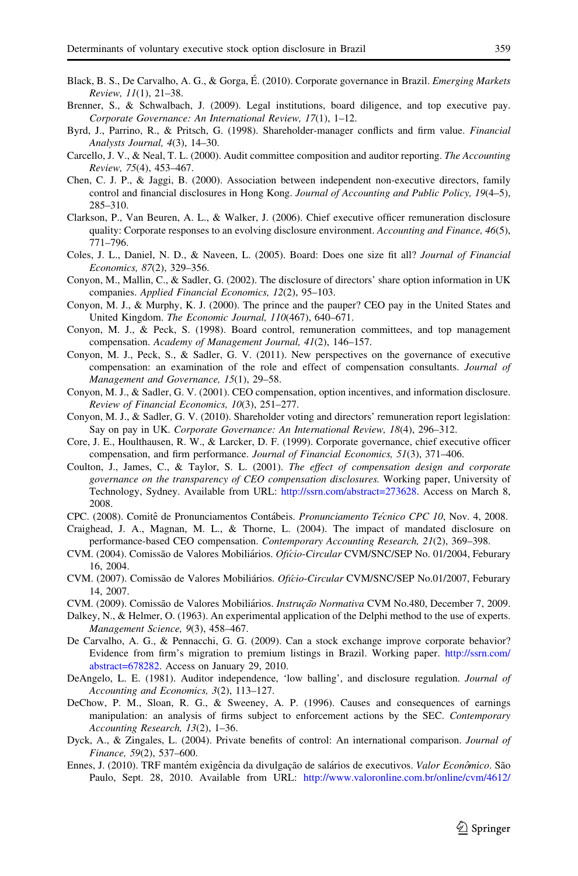- <span id="page-28-0"></span>Black, B. S., De Carvalho, A. G., & Gorga, É. (2010). Corporate governance in Brazil. *Emerging Markets* Review, 11(1), 21–38.
- Brenner, S., & Schwalbach, J. (2009). Legal institutions, board diligence, and top executive pay. Corporate Governance: An International Review, 17(1), 1–12.
- Byrd, J., Parrino, R., & Pritsch, G. (1998). Shareholder-manager conflicts and firm value. Financial Analysts Journal, 4(3), 14–30.
- Carcello, J. V., & Neal, T. L. (2000). Audit committee composition and auditor reporting. The Accounting Review, 75(4), 453–467.
- Chen, C. J. P., & Jaggi, B. (2000). Association between independent non-executive directors, family control and financial disclosures in Hong Kong. Journal of Accounting and Public Policy, 19(4–5), 285–310.
- Clarkson, P., Van Beuren, A. L., & Walker, J. (2006). Chief executive officer remuneration disclosure quality: Corporate responses to an evolving disclosure environment. Accounting and Finance, 46(5), 771–796.
- Coles, J. L., Daniel, N. D., & Naveen, L. (2005). Board: Does one size fit all? Journal of Financial Economics, 87(2), 329–356.
- Conyon, M., Mallin, C., & Sadler, G. (2002). The disclosure of directors' share option information in UK companies. Applied Financial Economics, 12(2), 95–103.
- Conyon, M. J., & Murphy, K. J. (2000). The prince and the pauper? CEO pay in the United States and United Kingdom. The Economic Journal, 110(467), 640–671.
- Conyon, M. J., & Peck, S. (1998). Board control, remuneration committees, and top management compensation. Academy of Management Journal, 41(2), 146–157.
- Conyon, M. J., Peck, S., & Sadler, G. V. (2011). New perspectives on the governance of executive compensation: an examination of the role and effect of compensation consultants. Journal of Management and Governance, 15(1), 29–58.
- Conyon, M. J., & Sadler, G. V. (2001). CEO compensation, option incentives, and information disclosure. Review of Financial Economics, 10(3), 251–277.
- Conyon, M. J., & Sadler, G. V. (2010). Shareholder voting and directors' remuneration report legislation: Say on pay in UK. Corporate Governance: An International Review, 18(4), 296–312.
- Core, J. E., Houlthausen, R. W., & Larcker, D. F. (1999). Corporate governance, chief executive officer compensation, and firm performance. Journal of Financial Economics, 51(3), 371–406.
- Coulton, J., James, C., & Taylor, S. L. (2001). The effect of compensation design and corporate governance on the transparency of CEO compensation disclosures. Working paper, University of Technology, Sydney. Available from URL: [http://ssrn.com/abstract=273628.](http://ssrn.com/abstract=273628) Access on March 8, 2008.
- CPC. (2008). Comitê de Pronunciamentos Contábeis. *Pronunciamento Técnico CPC 10*, Nov. 4, 2008.
- Craighead, J. A., Magnan, M. L., & Thorne, L. (2004). The impact of mandated disclosure on performance-based CEO compensation. Contemporary Accounting Research, 21(2), 369–398.
- CVM. (2004). Comissão de Valores Mobiliários. Ofício-Circular CVM/SNC/SEP No. 01/2004, Feburary 16, 2004.
- CVM. (2007). Comissão de Valores Mobiliários. Ofício-Circular CVM/SNC/SEP No.01/2007, Feburary 14, 2007.
- CVM. (2009). Comissão de Valores Mobiliários. *Instrução Normativa* CVM No.480, December 7, 2009.
- Dalkey, N., & Helmer, O. (1963). An experimental application of the Delphi method to the use of experts. Management Science, 9(3), 458–467.
- De Carvalho, A. G., & Pennacchi, G. G. (2009). Can a stock exchange improve corporate behavior? Evidence from firm's migration to premium listings in Brazil. Working paper. [http://ssrn.com/](http://ssrn.com/abstract=678282) [abstract=678282](http://ssrn.com/abstract=678282). Access on January 29, 2010.
- DeAngelo, L. E. (1981). Auditor independence, 'low balling', and disclosure regulation. Journal of Accounting and Economics, 3(2), 113–127.
- DeChow, P. M., Sloan, R. G., & Sweeney, A. P. (1996). Causes and consequences of earnings manipulation: an analysis of firms subject to enforcement actions by the SEC. Contemporary Accounting Research, 13(2), 1–36.
- Dyck, A., & Zingales, L. (2004). Private benefits of control: An international comparison. Journal of Finance, 59(2), 537–600.
- Ennes, J. (2010). TRF mantém exigência da divulgação de salários de executivos. Valor Econômico. São Paulo, Sept. 28, 2010. Available from URL: [http://www.valoronline.com.br/online/cvm/4612/](http://www.valoronline.com.br/online/cvm/4612/315210/trf-mantem-exigencia-da-divulgacao-de-salarios-de-executivos)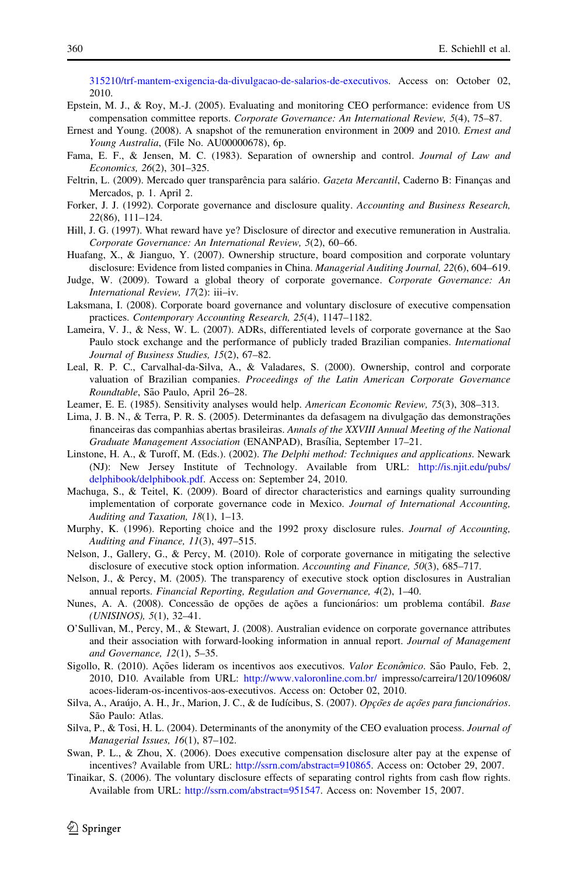<span id="page-29-0"></span>[315210/trf-mantem-exigencia-da-divulgacao-de-salarios-de-executivos](http://www.valoronline.com.br/online/cvm/4612/315210/trf-mantem-exigencia-da-divulgacao-de-salarios-de-executivos). Access on: October 02, 2010.

- Epstein, M. J., & Roy, M.-J. (2005). Evaluating and monitoring CEO performance: evidence from US compensation committee reports. Corporate Governance: An International Review, 5(4), 75–87.
- Ernest and Young. (2008). A snapshot of the remuneration environment in 2009 and 2010. Ernest and Young Australia, (File No. AU00000678), 6p.
- Fama, E. F., & Jensen, M. C. (1983). Separation of ownership and control. Journal of Law and Economics, 26(2), 301–325.
- Feltrin, L. (2009). Mercado quer transparência para salário. Gazeta Mercantil, Caderno B: Finanças and Mercados, p. 1. April 2.
- Forker, J. J. (1992). Corporate governance and disclosure quality. Accounting and Business Research, 22(86), 111–124.
- Hill, J. G. (1997). What reward have ye? Disclosure of director and executive remuneration in Australia. Corporate Governance: An International Review, 5(2), 60–66.
- Huafang, X., & Jianguo, Y. (2007). Ownership structure, board composition and corporate voluntary disclosure: Evidence from listed companies in China. Managerial Auditing Journal, 22(6), 604–619.
- Judge, W. (2009). Toward a global theory of corporate governance. Corporate Governance: An International Review, 17(2): iii–iv.
- Laksmana, I. (2008). Corporate board governance and voluntary disclosure of executive compensation practices. Contemporary Accounting Research, 25(4), 1147–1182.
- Lameira, V. J., & Ness, W. L. (2007). ADRs, differentiated levels of corporate governance at the Sao Paulo stock exchange and the performance of publicly traded Brazilian companies. International Journal of Business Studies, 15(2), 67–82.
- Leal, R. P. C., Carvalhal-da-Silva, A., & Valadares, S. (2000). Ownership, control and corporate valuation of Brazilian companies. Proceedings of the Latin American Corporate Governance Roundtable, São Paulo, April 26-28.
- Leamer, E. E. (1985). Sensitivity analyses would help. American Economic Review, 75(3), 308–313.
- Lima, J. B. N., & Terra, P. R. S. (2005). Determinantes da defasagem na divulgação das demonstrações financeiras das companhias abertas brasileiras. Annals of the XXVIII Annual Meeting of the National Graduate Management Association (ENANPAD), Brasília, September 17-21.
- Linstone, H. A., & Turoff, M. (Eds.). (2002). The Delphi method: Techniques and applications. Newark (NJ): New Jersey Institute of Technology. Available from URL: [http://is.njit.edu/pubs/](http://is.njit.edu/pubs/delphibook/delphibook.pdf) [delphibook/delphibook.pdf.](http://is.njit.edu/pubs/delphibook/delphibook.pdf) Access on: September 24, 2010.
- Machuga, S., & Teitel, K. (2009). Board of director characteristics and earnings quality surrounding implementation of corporate governance code in Mexico. Journal of International Accounting, Auditing and Taxation, 18(1), 1–13.
- Murphy, K. (1996). Reporting choice and the 1992 proxy disclosure rules. Journal of Accounting, Auditing and Finance, 11(3), 497–515.
- Nelson, J., Gallery, G., & Percy, M. (2010). Role of corporate governance in mitigating the selective disclosure of executive stock option information. Accounting and Finance, 50(3), 685–717.
- Nelson, J., & Percy, M. (2005). The transparency of executive stock option disclosures in Australian annual reports. Financial Reporting, Regulation and Governance, 4(2), 1–40.
- Nunes, A. A. (2008). Concessão de opções de ações a funcionários: um problema contábil. Base (UNISINOS), 5(1), 32–41.
- O'Sullivan, M., Percy, M., & Stewart, J. (2008). Australian evidence on corporate governance attributes and their association with forward-looking information in annual report. Journal of Management and Governance, 12(1), 5–35.
- Sigollo, R. (2010). Acões lideram os incentivos aos executivos. Valor Econômico. São Paulo, Feb. 2, 2010, D10. Available from URL: <http://www.valoronline.com.br/> impresso/carreira/120/109608/ acoes-lideram-os-incentivos-aos-executivos. Access on: October 02, 2010.
- Silva, A., Araújo, A. H., Jr., Marion, J. C., & de Iudícibus, S. (2007). Opções de ações para funcionários. São Paulo: Atlas.
- Silva, P., & Tosi, H. L. (2004). Determinants of the anonymity of the CEO evaluation process. Journal of Managerial Issues, 16(1), 87–102.
- Swan, P. L., & Zhou, X. (2006). Does executive compensation disclosure alter pay at the expense of incentives? Available from URL: <http://ssrn.com/abstract=910865>. Access on: October 29, 2007.
- Tinaikar, S. (2006). The voluntary disclosure effects of separating control rights from cash flow rights. Available from URL: [http://ssrn.com/abstract=951547.](http://ssrn.com/abstract=951547) Access on: November 15, 2007.